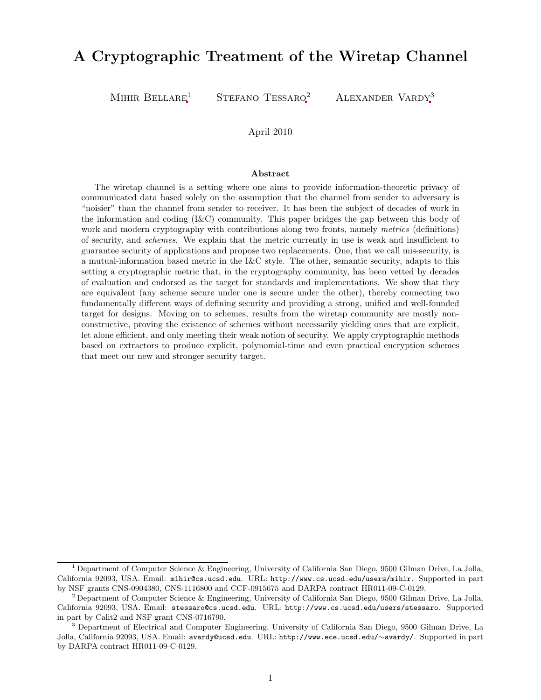# A Cryptographic Treatment of the Wiretap Channel

MIHIR BELLARE<sup>1</sup> STEFANO TESSARO<sup>2</sup> ALEXANDER VARDY<sup>3</sup>

### April 2010

#### Abstract

The wiretap channel is a setting where one aims to provide information-theoretic privacy of communicated data based solely on the assumption that the channel from sender to adversary is "noisier" than the channel from sender to receiver. It has been the subject of decades of work in the information and coding (I&C) community. This paper bridges the gap between this body of work and modern cryptography with contributions along two fronts, namely *metrics* (definitions) of security, and *schemes*. We explain that the metric currently in use is weak and insufficient to guarantee security of applications and propose two replacements. One, that we call mis-security, is a mutual-information based metric in the I&C style. The other, semantic security, adapts to this setting a cryptographic metric that, in the cryptography community, has been vetted by decades of evaluation and endorsed as the target for standards and implementations. We show that they are equivalent (any scheme secure under one is secure under the other), thereby connecting two fundamentally different ways of defining security and providing a strong, unified and well-founded target for designs. Moving on to schemes, results from the wiretap community are mostly nonconstructive, proving the existence of schemes without necessarily yielding ones that are explicit, let alone efficient, and only meeting their weak notion of security. We apply cryptographic methods based on extractors to produce explicit, polynomial-time and even practical encryption schemes that meet our new and stronger security target.

<sup>1</sup> Department of Computer Science & Engineering, University of California San Diego, 9500 Gilman Drive, La Jolla, California 92093, USA. Email: mihir@cs.ucsd.edu. URL: http://www.cs.ucsd.edu/users/mihir. Supported in part by NSF grants CNS-0904380, CNS-1116800 and CCF-0915675 and DARPA contract HR011-09-C-0129.

<sup>2</sup> Department of Computer Science & Engineering, University of California San Diego, 9500 Gilman Drive, La Jolla, California 92093, USA. Email: stessaro@cs.ucsd.edu. URL: http://www.cs.ucsd.edu/users/stessaro. Supported in part by Calit2 and NSF grant CNS-0716790.

<sup>3</sup> Department of Electrical and Computer Engineering, University of California San Diego, 9500 Gilman Drive, La Jolla, California 92093, USA. Email: avardy@ucsd.edu. URL: http://www.ece.ucsd.edu/∼avardy/. Supported in part by DARPA contract HR011-09-C-0129.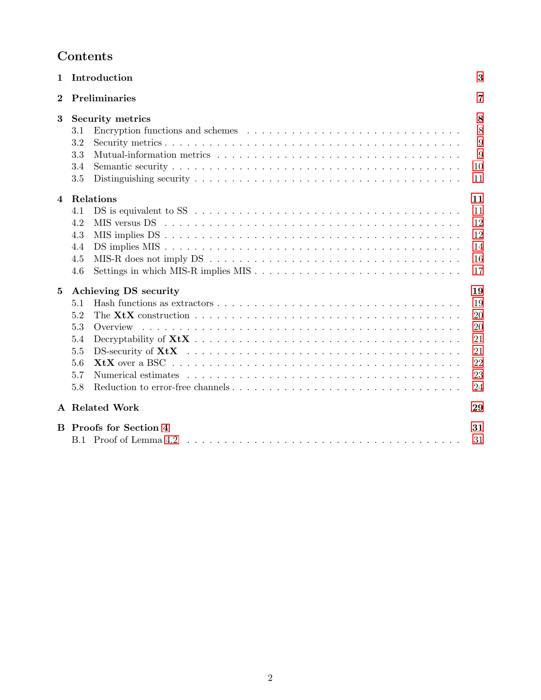| $\mathbf 1$ | Introduction                                                                                                                                                        | 3                                                  |
|-------------|---------------------------------------------------------------------------------------------------------------------------------------------------------------------|----------------------------------------------------|
| $\bf{2}$    | Preliminaries                                                                                                                                                       | 7                                                  |
| 3           | <b>Security metrics</b><br>3.1<br>3.2<br>3.3<br>3.4<br>3.5                                                                                                          | 8<br>8<br>9<br>9<br>10<br>11                       |
| 4           | Relations<br>DS is equivalent to SS $\ldots \ldots \ldots \ldots \ldots \ldots \ldots \ldots \ldots \ldots \ldots \ldots$<br>4.1<br>4.2<br>4.3<br>4.4<br>4.5<br>4.6 | 11<br>11<br>12<br>12<br>14<br>16<br>17             |
| $\bf{5}$    | Achieving DS security<br>5.1<br>5.2<br>5.3<br>Overview<br>5.4<br>5.5<br>5.6<br>5.7<br>5.8                                                                           | 19<br>19<br>20<br>20<br>21<br>21<br>22<br>23<br>24 |
|             | A Related Work                                                                                                                                                      | 29                                                 |
| B.          | <b>Proofs for Section 4</b><br>B.1 Proof of Lemma 4.2                                                                                                               | 31<br>31                                           |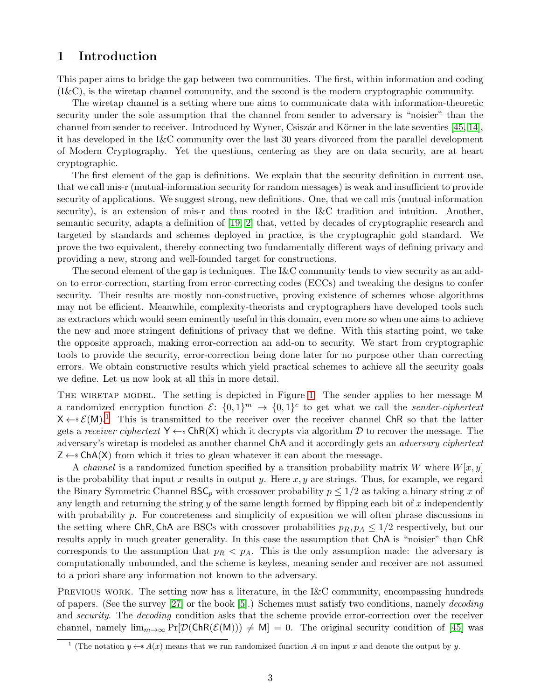# <span id="page-2-2"></span><span id="page-2-0"></span>1 Introduction

This paper aims to bridge the gap between two communities. The first, within information and coding (I&C), is the wiretap channel community, and the second is the modern cryptographic community.

The wiretap channel is a setting where one aims to communicate data with information-theoretic security under the sole assumption that the channel from sender to adversary is "noisier" than the channel from sender to receiver. Introduced by Wyner, Csiszár and Körner in the late seventies  $[45, 14]$  $[45, 14]$ , it has developed in the I&C community over the last 30 years divorced from the parallel development of Modern Cryptography. Yet the questions, centering as they are on data security, are at heart cryptographic.

The first element of the gap is definitions. We explain that the security definition in current use, that we call mis-r (mutual-information security for random messages) is weak and insufficient to provide security of applications. We suggest strong, new definitions. One, that we call mis (mutual-information security), is an extension of mis-r and thus rooted in the I&C tradition and intuition. Another, semantic security, adapts a definition of [\[19,](#page-26-1) [2\]](#page-25-0) that, vetted by decades of cryptographic research and targeted by standards and schemes deployed in practice, is the cryptographic gold standard. We prove the two equivalent, thereby connecting two fundamentally different ways of defining privacy and providing a new, strong and well-founded target for constructions.

The second element of the gap is techniques. The I&C community tends to view security as an addon to error-correction, starting from error-correcting codes (ECCs) and tweaking the designs to confer security. Their results are mostly non-constructive, proving existence of schemes whose algorithms may not be efficient. Meanwhile, complexity-theorists and cryptographers have developed tools such as extractors which would seem eminently useful in this domain, even more so when one aims to achieve the new and more stringent definitions of privacy that we define. With this starting point, we take the opposite approach, making error-correction an add-on to security. We start from cryptographic tools to provide the security, error-correction being done later for no purpose other than correcting errors. We obtain constructive results which yield practical schemes to achieve all the security goals we define. Let us now look at all this in more detail.

THE WIRETAP MODEL. The setting is depicted in Figure [1.](#page-3-0) The sender applies to her message M a randomized encryption function  $\mathcal{E}$ :  $\{0,1\}^m \to \{0,1\}^c$  to get what we call the *sender-ciphertext*  $X \leftarrow s \mathcal{E}(M)$ .<sup>[1](#page-2-1)</sup> This is transmitted to the receiver over the receiver channel ChR so that the latter gets a *receiver ciphertext*  $Y \leftarrow s \text{ChR}(X)$  which it decrypts via algorithm D to recover the message. The adversary's wiretap is modeled as another channel ChA and it accordingly gets an *adversary ciphertext*  $Z \leftarrow s$  ChA(X) from which it tries to glean whatever it can about the message.

A *channel* is a randomized function specified by a transition probability matrix W where  $W[x, y]$ is the probability that input x results in output y. Here  $x, y$  are strings. Thus, for example, we regard the Binary Symmetric Channel  $\text{BSC}_p$  with crossover probability  $p \leq 1/2$  as taking a binary string x of any length and returning the string  $y$  of the same length formed by flipping each bit of  $x$  independently with probability p. For concreteness and simplicity of exposition we will often phrase discussions in the setting where ChR, ChA are BSCs with crossover probabilities  $p_R$ ,  $p_A \leq 1/2$  respectively, but our results apply in much greater generality. In this case the assumption that ChA is "noisier" than ChR corresponds to the assumption that  $p_R < p_A$ . This is the only assumption made: the adversary is computationally unbounded, and the scheme is keyless, meaning sender and receiver are not assumed to a priori share any information not known to the adversary.

PREVIOUS WORK. The setting now has a literature, in the I&C community, encompassing hundreds of papers. (See the survey [\[27\]](#page-27-1) or the book [\[5\]](#page-25-1).) Schemes must satisfy two conditions, namely *decoding* and *security*. The *decoding* condition asks that the scheme provide error-correction over the receiver channel, namely  $\lim_{m\to\infty} \Pr[\mathcal{D}(\mathsf{ChR}(\mathcal{E}(M))) \neq M] = 0$ . The original security condition of [\[45\]](#page-27-0) was

<span id="page-2-1"></span><sup>&</sup>lt;sup>1</sup> (The notation  $y \leftarrow A(x)$  means that we run randomized function A on input x and denote the output by y.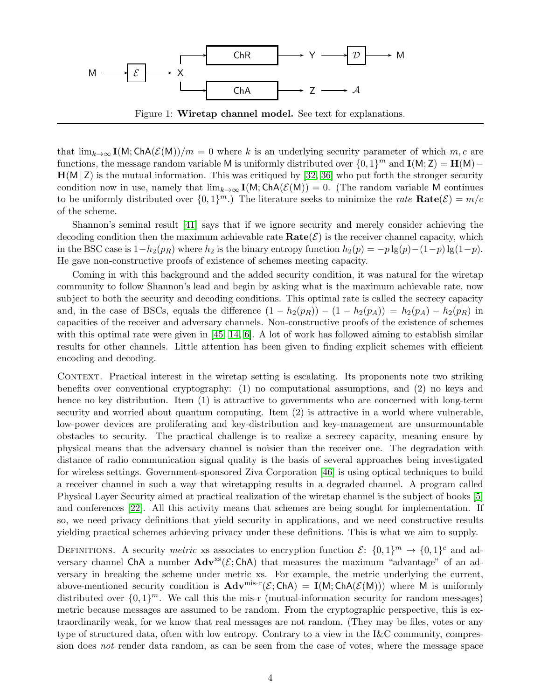<span id="page-3-1"></span>

<span id="page-3-0"></span>that  $\lim_{k\to\infty} I(M; ChA(\mathcal{E}(M))/m = 0$  where k is an underlying security parameter of which  $m, c$  are functions, the message random variable M is uniformly distributed over  $\{0, 1\}^m$  and  $\mathbf{I}(\mathsf{M}; \mathsf{Z}) = \mathbf{H}(\mathsf{M}) - \mathbf{H}(\mathsf{M}; \mathsf{M})$  $H(M | Z)$  is the mutual information. This was critiqued by [\[32,](#page-27-2) [36\]](#page-27-3) who put forth the stronger security condition now in use, namely that  $\lim_{k\to\infty} I(M; ChA(\mathcal{E}(M))) = 0$ . (The random variable M continues to be uniformly distributed over  $\{0,1\}^m$ .) The literature seeks to minimize the *rate*  $\textbf{Rate}(\mathcal{E}) = m/c$ of the scheme.

Shannon's seminal result [\[41\]](#page-27-4) says that if we ignore security and merely consider achieving the decoding condition then the maximum achievable rate  $\textbf{Rate}(\mathcal{E})$  is the receiver channel capacity, which in the BSC case is  $1-h_2(p_R)$  where  $h_2$  is the binary entropy function  $h_2(p) = -p \lg(p)-(1-p) \lg(1-p)$ . He gave non-constructive proofs of existence of schemes meeting capacity.

Coming in with this background and the added security condition, it was natural for the wiretap community to follow Shannon's lead and begin by asking what is the maximum achievable rate, now subject to both the security and decoding conditions. This optimal rate is called the secrecy capacity and, in the case of BSCs, equals the difference  $(1 - h_2(p_R)) - (1 - h_2(p_A)) = h_2(p_A) - h_2(p_R)$  in capacities of the receiver and adversary channels. Non-constructive proofs of the existence of schemes with this optimal rate were given in [\[45,](#page-27-0) [14,](#page-26-0) [6\]](#page-26-2). A lot of work has followed aiming to establish similar results for other channels. Little attention has been given to finding explicit schemes with efficient encoding and decoding.

CONTEXT. Practical interest in the wiretap setting is escalating. Its proponents note two striking benefits over conventional cryptography: (1) no computational assumptions, and (2) no keys and hence no key distribution. Item (1) is attractive to governments who are concerned with long-term security and worried about quantum computing. Item (2) is attractive in a world where vulnerable, low-power devices are proliferating and key-distribution and key-management are unsurmountable obstacles to security. The practical challenge is to realize a secrecy capacity, meaning ensure by physical means that the adversary channel is noisier than the receiver one. The degradation with distance of radio communication signal quality is the basis of several approaches being investigated for wireless settings. Government-sponsored Ziva Corporation [\[46\]](#page-27-5) is using optical techniques to build a receiver channel in such a way that wiretapping results in a degraded channel. A program called Physical Layer Security aimed at practical realization of the wiretap channel is the subject of books [\[5\]](#page-25-1) and conferences [\[22\]](#page-26-3). All this activity means that schemes are being sought for implementation. If so, we need privacy definitions that yield security in applications, and we need constructive results yielding practical schemes achieving privacy under these definitions. This is what we aim to supply.

DEFINITIONS. A security *metric* xs associates to encryption function  $\mathcal{E}$ :  $\{0,1\}^m \to \{0,1\}^c$  and adversary channel ChA a number  $Adv^{xs}(\mathcal{E};ChA)$  that measures the maximum "advantage" of an adversary in breaking the scheme under metric xs. For example, the metric underlying the current, above-mentioned security condition is  $\mathbf{Adv}^{\text{mis-r}}(\mathcal{E};\mathsf{ChA}) = \mathbf{I}(M;\mathsf{ChA}(\mathcal{E}(M)))$  where M is uniformly distributed over  $\{0,1\}^m$ . We call this the mis-r (mutual-information security for random messages) metric because messages are assumed to be random. From the cryptographic perspective, this is extraordinarily weak, for we know that real messages are not random. (They may be files, votes or any type of structured data, often with low entropy. Contrary to a view in the I&C community, compression does *not* render data random, as can be seen from the case of votes, where the message space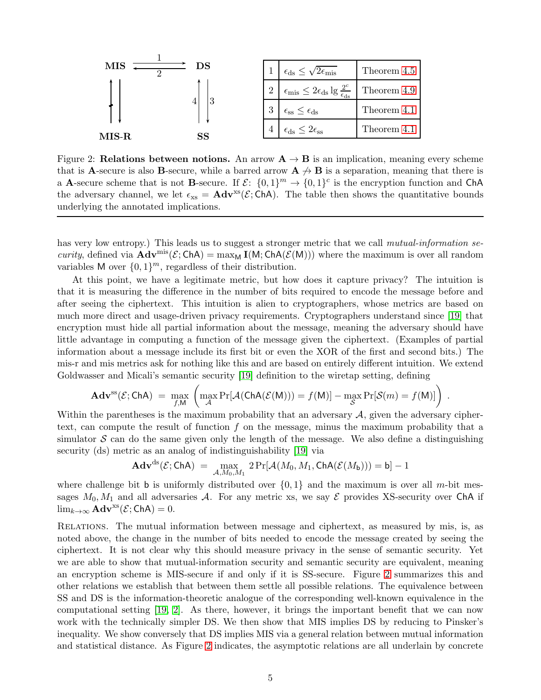<span id="page-4-1"></span>

<span id="page-4-0"></span>Figure 2: Relations between notions. An arrow  $A \rightarrow B$  is an implication, meaning every scheme that is **A**-secure is also **B**-secure, while a barred arrow  $A \nrightarrow B$  is a separation, meaning that there is a **A**-secure scheme that is not **B**-secure. If  $\mathcal{E}$ :  $\{0,1\}^m \to \{0,1\}^c$  is the encryption function and ChA the adversary channel, we let  $\epsilon_{\text{xs}} = \text{Adv}^{\text{xs}}(\mathcal{E}; \text{ChA})$ . The table then shows the quantitative bounds underlying the annotated implications.

has very low entropy.) This leads us to suggest a stronger metric that we call *mutual-information security*, defined via  $\mathbf{Adv}^{\text{mis}}(\mathcal{E}; \mathsf{ChA}) = \max_{\mathsf{M}} \mathbf{I}(\mathsf{M}; \mathsf{ChA}(\mathcal{E}(\mathsf{M})))$  where the maximum is over all random variables M over  $\{0,1\}^m$ , regardless of their distribution.

At this point, we have a legitimate metric, but how does it capture privacy? The intuition is that it is measuring the difference in the number of bits required to encode the message before and after seeing the ciphertext. This intuition is alien to cryptographers, whose metrics are based on much more direct and usage-driven privacy requirements. Cryptographers understand since [\[19\]](#page-26-1) that encryption must hide all partial information about the message, meaning the adversary should have little advantage in computing a function of the message given the ciphertext. (Examples of partial information about a message include its first bit or even the XOR of the first and second bits.) The mis-r and mis metrics ask for nothing like this and are based on entirely different intuition. We extend Goldwasser and Micali's semantic security [\[19\]](#page-26-1) definition to the wiretap setting, defining

$$
\mathbf{Adv}^{ss}(\mathcal{E};\mathsf{ChA}) = \max_{f,M} \left( \max_{\mathcal{A}} \Pr[\mathcal{A}(\mathsf{ChA}(\mathcal{E}(M))) = f(M)] - \max_{\mathcal{S}} \Pr[\mathcal{S}(m) = f(M)] \right)
$$

.

Within the parentheses is the maximum probability that an adversary  $A$ , given the adversary ciphertext, can compute the result of function  $f$  on the message, minus the maximum probability that a simulator  $S$  can do the same given only the length of the message. We also define a distinguishing security (ds) metric as an analog of indistinguishability [\[19\]](#page-26-1) via

$$
\mathbf{Adv}^\mathrm{ds}(\mathcal{E};\mathsf{ChA})\ =\ \max_{\mathcal{A},M_0,M_1}\ 2\Pr[\mathcal{A}(M_0,M_1,\mathsf{ChA}(\mathcal{E}(M_{\mathsf{b}})))=\mathsf{b}]-1
$$

where challenge bit b is uniformly distributed over  $\{0, 1\}$  and the maximum is over all m-bit messages  $M_0, M_1$  and all adversaries A. For any metric xs, we say  $\mathcal E$  provides XS-security over ChA if  $\lim_{k\to\infty}$  **Adv**<sup>xs</sup>( $\mathcal{E}$ ; ChA) = 0.

Relations. The mutual information between message and ciphertext, as measured by mis, is, as noted above, the change in the number of bits needed to encode the message created by seeing the ciphertext. It is not clear why this should measure privacy in the sense of semantic security. Yet we are able to show that mutual-information security and semantic security are equivalent, meaning an encryption scheme is MIS-secure if and only if it is SS-secure. Figure [2](#page-4-0) summarizes this and other relations we establish that between them settle all possible relations. The equivalence between SS and DS is the information-theoretic analogue of the corresponding well-known equivalence in the computational setting [\[19,](#page-26-1) [2\]](#page-25-0). As there, however, it brings the important benefit that we can now work with the technically simpler DS. We then show that MIS implies DS by reducing to Pinsker's inequality. We show conversely that DS implies MIS via a general relation between mutual information and statistical distance. As Figure [2](#page-4-0) indicates, the asymptotic relations are all underlain by concrete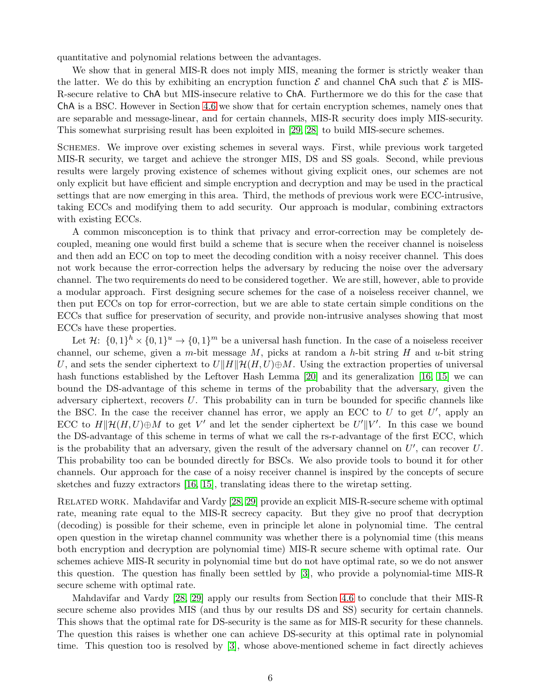<span id="page-5-0"></span>quantitative and polynomial relations between the advantages.

We show that in general MIS-R does not imply MIS, meaning the former is strictly weaker than the latter. We do this by exhibiting an encryption function  $\mathcal E$  and channel ChA such that  $\mathcal E$  is MIS-R-secure relative to ChA but MIS-insecure relative to ChA. Furthermore we do this for the case that ChA is a BSC. However in Section [4.6](#page-16-0) we show that for certain encryption schemes, namely ones that are separable and message-linear, and for certain channels, MIS-R security does imply MIS-security. This somewhat surprising result has been exploited in [\[29,](#page-27-6) [28\]](#page-27-7) to build MIS-secure schemes.

Schemes. We improve over existing schemes in several ways. First, while previous work targeted MIS-R security, we target and achieve the stronger MIS, DS and SS goals. Second, while previous results were largely proving existence of schemes without giving explicit ones, our schemes are not only explicit but have efficient and simple encryption and decryption and may be used in the practical settings that are now emerging in this area. Third, the methods of previous work were ECC-intrusive, taking ECCs and modifying them to add security. Our approach is modular, combining extractors with existing ECCs.

A common misconception is to think that privacy and error-correction may be completely decoupled, meaning one would first build a scheme that is secure when the receiver channel is noiseless and then add an ECC on top to meet the decoding condition with a noisy receiver channel. This does not work because the error-correction helps the adversary by reducing the noise over the adversary channel. The two requirements do need to be considered together. We are still, however, able to provide a modular approach. First designing secure schemes for the case of a noiseless receiver channel, we then put ECCs on top for error-correction, but we are able to state certain simple conditions on the ECCs that suffice for preservation of security, and provide non-intrusive analyses showing that most ECCs have these properties.

Let  $\mathcal{H}$ :  $\{0,1\}^h \times \{0,1\}^u \to \{0,1\}^m$  be a universal hash function. In the case of a noiseless receiver channel, our scheme, given a m-bit message  $M$ , picks at random a h-bit string  $H$  and  $u$ -bit string U, and sets the sender ciphertext to  $U\|H\|\mathcal{H}(H, U) \oplus M$ . Using the extraction properties of universal hash functions established by the Leftover Hash Lemma [\[20\]](#page-26-4) and its generalization [\[16,](#page-26-5) [15\]](#page-26-6) we can bound the DS-advantage of this scheme in terms of the probability that the adversary, given the adversary ciphertext, recovers U. This probability can in turn be bounded for specific channels like the BSC. In the case the receiver channel has error, we apply an ECC to  $U$  to get  $U'$ , apply an ECC to  $H\|\mathcal{H}(H, U)\oplus M$  to get V' and let the sender ciphertext be  $U'\|V'$ . In this case we bound the DS-advantage of this scheme in terms of what we call the rs-r-advantage of the first ECC, which is the probability that an adversary, given the result of the adversary channel on  $U'$ , can recover  $U$ . This probability too can be bounded directly for BSCs. We also provide tools to bound it for other channels. Our approach for the case of a noisy receiver channel is inspired by the concepts of secure sketches and fuzzy extractors [\[16,](#page-26-5) [15\]](#page-26-6), translating ideas there to the wiretap setting.

Related work. Mahdavifar and Vardy [\[28,](#page-27-7) [29\]](#page-27-6) provide an explicit MIS-R-secure scheme with optimal rate, meaning rate equal to the MIS-R secrecy capacity. But they give no proof that decryption (decoding) is possible for their scheme, even in principle let alone in polynomial time. The central open question in the wiretap channel community was whether there is a polynomial time (this means both encryption and decryption are polynomial time) MIS-R secure scheme with optimal rate. Our schemes achieve MIS-R security in polynomial time but do not have optimal rate, so we do not answer this question. The question has finally been settled by [\[3\]](#page-25-2), who provide a polynomial-time MIS-R secure scheme with optimal rate.

Mahdavifar and Vardy [\[28,](#page-27-7) [29\]](#page-27-6) apply our results from Section [4.6](#page-16-0) to conclude that their MIS-R secure scheme also provides MIS (and thus by our results DS and SS) security for certain channels. This shows that the optimal rate for DS-security is the same as for MIS-R security for these channels. The question this raises is whether one can achieve DS-security at this optimal rate in polynomial time. This question too is resolved by [\[3\]](#page-25-2), whose above-mentioned scheme in fact directly achieves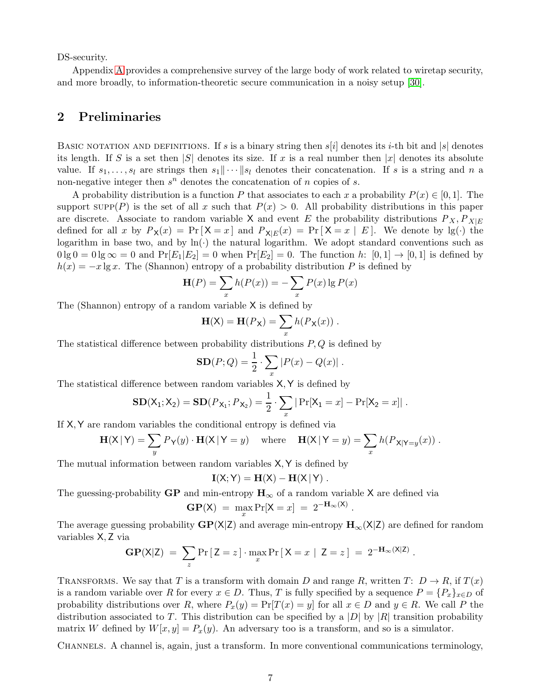<span id="page-6-1"></span>DS-security.

Appendix [A](#page-28-0) provides a comprehensive survey of the large body of work related to wiretap security, and more broadly, to information-theoretic secure communication in a noisy setup [\[30\]](#page-27-8).

# <span id="page-6-0"></span>2 Preliminaries

BASIC NOTATION AND DEFINITIONS. If s is a binary string then  $s[i]$  denotes its *i*-th bit and  $|s|$  denotes its length. If S is a set then  $|S|$  denotes its size. If x is a real number then  $|x|$  denotes its absolute value. If  $s_1, \ldots, s_l$  are strings then  $s_1 \cdots |s_l$  denotes their concatenation. If s is a string and n a non-negative integer then  $s^n$  denotes the concatenation of n copies of s.

A probability distribution is a function P that associates to each x a probability  $P(x) \in [0, 1]$ . The support  $\text{supp}(P)$  is the set of all x such that  $P(x) > 0$ . All probability distributions in this paper are discrete. Associate to random variable X and event E the probability distributions  $P_X, P_{X|E}$ defined for all x by  $P_X(x) = Pr[X = x]$  and  $P_{X|E}(x) = Pr[X = x | E]$ . We denote by  $lg(\cdot)$  the logarithm in base two, and by  $ln(·)$  the natural logarithm. We adopt standard conventions such as  $0 \lg 0 = 0 \lg \infty = 0$  and  $\Pr[E_1 | E_2] = 0$  when  $\Pr[E_2] = 0$ . The function h:  $[0,1] \to [0,1]$  is defined by  $h(x) = -x \lg x$ . The (Shannon) entropy of a probability distribution P is defined by

$$
\mathbf{H}(P) = \sum_{x} h(P(x)) = -\sum_{x} P(x) \lg P(x)
$$

The (Shannon) entropy of a random variable X is defined by

$$
\mathbf{H}(\mathsf{X}) = \mathbf{H}(P_{\mathsf{X}}) = \sum_{x} h(P_{\mathsf{X}}(x)) .
$$

The statistical difference between probability distributions  $P, Q$  is defined by

$$
SD(P; Q) = \frac{1}{2} \cdot \sum_{x} |P(x) - Q(x)|.
$$

The statistical difference between random variables X,Y is defined by

$$
SD(X_1; X_2) = SD(P_{X_1}; P_{X_2}) = \frac{1}{2} \cdot \sum_x |Pr[X_1 = x] - Pr[X_2 = x]|.
$$

If X,Y are random variables the conditional entropy is defined via

$$
\mathbf{H}(\mathsf{X} \,|\, \mathsf{Y}) = \sum_{y} P_{\mathsf{Y}}(y) \cdot \mathbf{H}(\mathsf{X} \,|\, \mathsf{Y}=y) \quad \text{ where } \quad \mathbf{H}(\mathsf{X} \,|\, \mathsf{Y}=y) = \sum_{x} h(P_{\mathsf{X} \,|\, \mathsf{Y}=y}(x)) \; .
$$

The mutual information between random variables X,Y is defined by

$$
\mathbf{I}(X;Y)=\mathbf{H}(X)-\mathbf{H}(X\,|\,Y)\;.
$$

.

.

The guessing-probability GP and min-entropy  $H_{\infty}$  of a random variable X are defined via

$$
GP(X) = \max_x \Pr[X = x] = 2^{-H_{\infty}(X)}
$$

The average guessing probability  $\mathbf{GP}(\mathsf{X}|\mathsf{Z})$  and average min-entropy  $\mathbf{H}_{\infty}(\mathsf{X}|\mathsf{Z})$  are defined for random variables X, Z via

$$
GP(X|Z) = \sum_{z} Pr[Z = z] \cdot \max_{x} Pr[X = x | Z = z] = 2^{-H_{\infty}(X|Z)}
$$

TRANSFORMS. We say that T is a transform with domain D and range R, written T:  $D \to R$ , if  $T(x)$ is a random variable over R for every  $x \in D$ . Thus, T is fully specified by a sequence  $P = \{P_x\}_{x \in D}$  of probability distributions over R, where  $P_x(y) = Pr[T(x) = y]$  for all  $x \in D$  and  $y \in R$ . We call P the distribution associated to T. This distribution can be specified by a |D| by |R| transition probability matrix W defined by  $W[x, y] = P_x(y)$ . An adversary too is a transform, and so is a simulator.

CHANNELS. A channel is, again, just a transform. In more conventional communications terminology,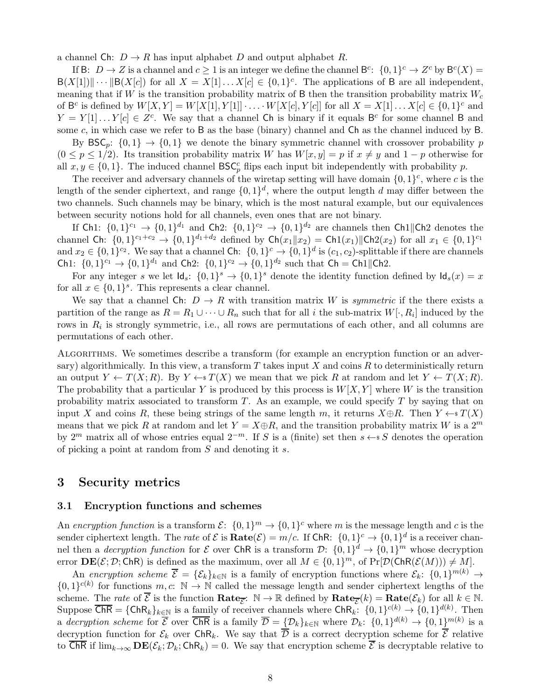a channel Ch:  $D \to R$  has input alphabet D and output alphabet R.

If B:  $D \to Z$  is a channel and  $c \ge 1$  is an integer we define the channel  $B^c$ :  $\{0,1\}^c \to Z^c$  by  $B^c(X) =$  $B(X[1]) \|\cdots \| B(X[c])$  for all  $X = X[1] \ldots X[c] \in \{0,1\}^c$ . The applications of B are all independent, meaning that if W is the transition probability matrix of B then the transition probability matrix  $W_c$ of  $B^c$  is defined by  $W[X, Y] = W[X[1], Y[1]] \cdot \ldots \cdot W[X[c], Y[c]]$  for all  $X = X[1] \ldots X[c] \in \{0, 1\}^c$  and  $Y = Y[1] \dots Y[c] \in Z^c$ . We say that a channel Ch is binary if it equals B<sup>c</sup> for some channel B and some  $c$ , in which case we refer to B as the base (binary) channel and  $Ch$  as the channel induced by B.

By  $\text{BSC}_p$ :  $\{0,1\} \rightarrow \{0,1\}$  we denote the binary symmetric channel with crossover probability p  $(0 \leq p \leq 1/2)$ . Its transition probability matrix W has  $W[x, y] = p$  if  $x \neq y$  and  $1 - p$  otherwise for all  $x, y \in \{0, 1\}$ . The induced channel  $BSC_p^c$  flips each input bit independently with probability p.

The receiver and adversary channels of the wiretap setting will have domain  $\{0,1\}^c$ , where c is the length of the sender ciphertext, and range  $\{0,1\}^d$ , where the output length d may differ between the two channels. Such channels may be binary, which is the most natural example, but our equivalences between security notions hold for all channels, even ones that are not binary.

If Ch1:  $\{0,1\}^{c_1} \rightarrow \{0,1\}^{d_1}$  and Ch2:  $\{0,1\}^{c_2} \rightarrow \{0,1\}^{d_2}$  are channels then Ch1||Ch2 denotes the channel Ch:  $\{0,1\}^{c_1+c_2} \to \{0,1\}^{d_1+d_2}$  defined by  $\mathsf{Ch}(x_1||x_2) = \mathsf{Ch}(x_1)||\mathsf{Ch}(x_2)$  for all  $x_1 \in \{0,1\}^{c_1}$ and  $x_2 \in \{0,1\}^{c_2}$ . We say that a channel Ch:  $\{0,1\}^c \rightarrow \{0,1\}^d$  is  $(c_1, c_2)$ -splittable if there are channels Ch1:  $\{0,1\}^{c_1} \rightarrow \{0,1\}^{d_1}$  and Ch2:  $\{0,1\}^{c_2} \rightarrow \{0,1\}^{d_2}$  such that Ch = Ch1||Ch2.

For any integer s we let  $\mathsf{Id}_s$ :  $\{0,1\}^s \to \{0,1\}^s$  denote the identity function defined by  $\mathsf{Id}_s(x) = x$ for all  $x \in \{0,1\}^s$ . This represents a clear channel.

We say that a channel Ch:  $D \to R$  with transition matrix W is *symmetric* if the there exists a partition of the range as  $R = R_1 \cup \cdots \cup R_n$  such that for all i the sub-matrix  $W[\cdot, R_i]$  induced by the rows in  $R_i$  is strongly symmetric, i.e., all rows are permutations of each other, and all columns are permutations of each other.

Algorithms. We sometimes describe a transform (for example an encryption function or an adversary) algorithmically. In this view, a transform T takes input X and coins R to deterministically return an output  $Y \leftarrow T(X; R)$ . By  $Y \leftarrow T(X)$  we mean that we pick R at random and let  $Y \leftarrow T(X; R)$ . The probability that a particular Y is produced by this process is  $W[X, Y]$  where W is the transition probability matrix associated to transform  $T$ . As an example, we could specify  $T$  by saying that on input X and coins R, these being strings of the same length m, it returns  $X \oplus R$ . Then  $Y \leftarrow^s T(X)$ means that we pick R at random and let  $Y = X \oplus R$ , and the transition probability matrix W is a  $2^m$ by 2<sup>m</sup> matrix all of whose entries equal  $2^{-m}$ . If S is a (finite) set then  $s \leftarrow s S$  denotes the operation of picking a point at random from S and denoting it s.

# <span id="page-7-0"></span>3 Security metrics

#### <span id="page-7-1"></span>3.1 Encryption functions and schemes

An *encryption function* is a transform  $\mathcal{E}$ :  $\{0,1\}^m \to \{0,1\}^c$  where m is the message length and c is the sender ciphertext length. The *rate* of  $\mathcal{E}$  is  $\textbf{Rate}(\mathcal{E}) = m/c$ . If  $\textbf{ChR: } \{0,1\}^c \to \{0,1\}^d$  is a receiver channel then a *decryption function* for  $\mathcal E$  over ChR is a transform  $\mathcal D: \{0,1\}^d \to \{0,1\}^m$  whose decryption error  $\mathbf{DE}(\mathcal{E}; \mathcal{D}; \mathsf{ChR})$  is defined as the maximum, over all  $M \in \{0, 1\}^m$ , of  $\Pr[\mathcal{D}(\mathsf{ChR}(\mathcal{E}(M))) \neq M].$ 

An *encryption scheme*  $\overline{\mathcal{E}} = {\{\mathcal{E}_k\}_{k\in\mathbb{N}}}$  is a family of encryption functions where  $\mathcal{E}_k$ :  $\{0,1\}^{m(k)} \to$  ${0,1}^{c(k)}$  for functions  $m, c: \mathbb{N} \to \mathbb{N}$  called the message length and sender ciphertext lengths of the scheme. The *rate* of  $\overline{\mathcal{E}}$  is the function  $\textbf{Rate}_{\overline{\mathcal{E}}}$ :  $\mathbb{N} \to \mathbb{R}$  defined by  $\textbf{Rate}_{\overline{\mathcal{E}}}(k) = \textbf{Rate}(\mathcal{E}_k)$  for all  $k \in \mathbb{N}$ . Suppose  $\overline{\mathsf{ChR}} = \{\mathsf{ChR}_k\}_{k\in\mathbb{N}}$  is a family of receiver channels where  $\mathsf{ChR}_k$ :  $\{0,1\}^{c(k)} \to \{0,1\}^{d(k)}$ . Then a *decryption scheme* for  $\overline{\mathcal{E}}$  over  $\overline{\text{ChR}}$  is a family  $\overline{\mathcal{D}} = {\{\mathcal{D}_k\}_{k\in\mathbb{N}}}$  where  $\mathcal{D}_k$ :  $\{0,1\}^{d(k)} \to \{0,1\}^{m(k)}$  is a decryption function for  $\mathcal{E}_k$  over ChR<sub>k</sub>. We say that  $\overline{\mathcal{D}}$  is a correct decryption scheme for  $\overline{\mathcal{E}}$  relative to  $\overline{\mathsf{ChR}}$  if  $\lim_{k\to\infty}\mathbf{DE}(\mathcal{E}_k;\mathcal{D}_k;\mathsf{ChR}_k)=0$ . We say that encryption scheme  $\overline{\mathcal{E}}$  is decryptable relative to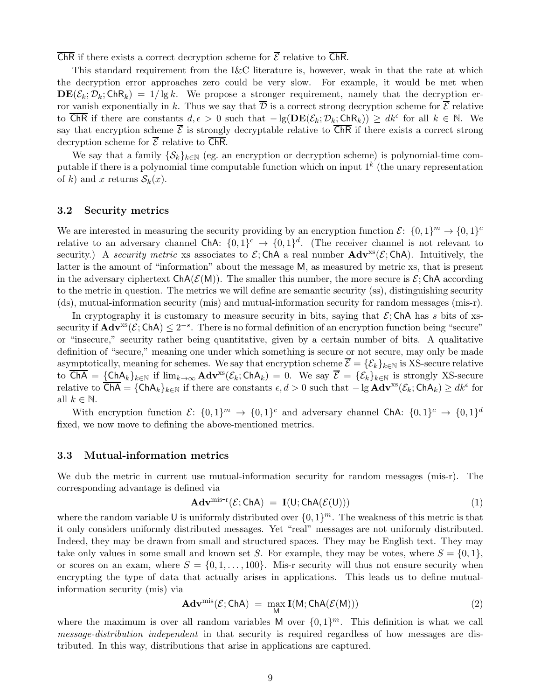ChR if there exists a correct decryption scheme for  $\overline{\mathcal{E}}$  relative to  $\overline{\mathsf{ChR}}$ .

This standard requirement from the I&C literature is, however, weak in that the rate at which the decryption error approaches zero could be very slow. For example, it would be met when  $\mathbf{DE}(\mathcal{E}_k; \mathcal{D}_k; ChR_k) = 1/\lg k$ . We propose a stronger requirement, namely that the decryption error vanish exponentially in k. Thus we say that  $\overline{\mathcal{D}}$  is a correct strong decryption scheme for  $\overline{\mathcal{E}}$  relative to  $\overline{\text{ChR}}$  if there are constants  $d, \epsilon > 0$  such that  $-\lg(\mathbf{DE}(\mathcal{E}_k; \mathcal{D}_k; \text{ChR}_k)) \geq d k^{\epsilon}$  for all  $k \in \mathbb{N}$ . We say that encryption scheme  $\overline{\mathcal{E}}$  is strongly decryptable relative to  $\overline{\text{ChR}}$  if there exists a correct strong decryption scheme for  $\overline{\mathcal{E}}$  relative to  $\overline{\mathsf{ChR}}$ .

We say that a family  $\{\mathcal{S}_k\}_{k\in\mathbb{N}}$  (eg. an encryption or decryption scheme) is polynomial-time computable if there is a polynomial time computable function which on input  $1^k$  (the unary representation of k) and x returns  $S_k(x)$ .

#### <span id="page-8-0"></span>3.2 Security metrics

We are interested in measuring the security providing by an encryption function  $\mathcal{E}$ :  $\{0,1\}^m \to \{0,1\}^c$ relative to an adversary channel ChA:  $\{0,1\}^c \rightarrow \{0,1\}^d$ . (The receiver channel is not relevant to security.) A *security metric* xs associates to  $\mathcal{E}$ ; ChA a real number  $\text{Adv}^{xs}(\mathcal{E}; \text{ChA})$ . Intuitively, the latter is the amount of "information" about the message M, as measured by metric xs, that is present in the adversary ciphertext  $ChA(\mathcal{E}(M))$ . The smaller this number, the more secure is  $\mathcal{E}$ ; ChA according to the metric in question. The metrics we will define are semantic security (ss), distinguishing security (ds), mutual-information security (mis) and mutual-information security for random messages (mis-r).

In cryptography it is customary to measure security in bits, saying that  $\mathcal{E}$ ; ChA has s bits of xssecurity if  $\mathbf{Adv}^{xs}(\mathcal{E};\mathsf{ChA}) \leq 2^{-s}$ . There is no formal definition of an encryption function being "secure" or "insecure," security rather being quantitative, given by a certain number of bits. A qualitative definition of "secure," meaning one under which something is secure or not secure, may only be made asymptotically, meaning for schemes. We say that encryption scheme  $\overline{\mathcal{E}} = {\{\mathcal{E}_k\}}_{k\in\mathbb{N}}$  is XS-secure relative to  $\overline{ChA} = \{ChA_k\}_{k\in\mathbb{N}}$  if  $\lim_{k\to\infty} Adv^{xs}(\mathcal{E}_k; ChA_k) = 0$ . We say  $\overline{\mathcal{E}} = {\{\mathcal{E}_k\}_{k\in\mathbb{N}}}$  is strongly XS-secure relative to  $\overline{\mathsf{ChA}} = \{\mathsf{ChA}_k\}_{k\in\mathbb{N}}$  if there are constants  $\epsilon, d > 0$  such that  $-\lg \mathbf{Adv}^{xs}(\mathcal{E}_k; \mathsf{ChA}_k) \geq dk^{\epsilon}$  for all  $k \in \mathbb{N}$ .

With encryption function  $\mathcal{E}$ :  $\{0,1\}^m \to \{0,1\}^c$  and adversary channel ChA:  $\{0,1\}^c \to \{0,1\}^d$ fixed, we now move to defining the above-mentioned metrics.

#### <span id="page-8-1"></span>3.3 Mutual-information metrics

We dub the metric in current use mutual-information security for random messages (mis-r). The corresponding advantage is defined via

$$
\mathbf{Adv}^{\mathrm{mis-r}}(\mathcal{E};\mathsf{ChA})\ =\ \mathbf{I}(\mathsf{U};\mathsf{ChA}(\mathcal{E}(\mathsf{U})))\tag{1}
$$

where the random variable U is uniformly distributed over  $\{0, 1\}^m$ . The weakness of this metric is that it only considers uniformly distributed messages. Yet "real" messages are not uniformly distributed. Indeed, they may be drawn from small and structured spaces. They may be English text. They may take only values in some small and known set S. For example, they may be votes, where  $S = \{0, 1\}$ , or scores on an exam, where  $S = \{0, 1, \ldots, 100\}$ . Mis-r security will thus not ensure security when encrypting the type of data that actually arises in applications. This leads us to define mutualinformation security (mis) via

<span id="page-8-2"></span>
$$
\mathbf{Adv}^{\mathrm{mis}}(\mathcal{E};\mathsf{ChA}) = \max_{\mathsf{M}} \mathbf{I}(\mathsf{M};\mathsf{ChA}(\mathcal{E}(\mathsf{M})))
$$
 (2)

where the maximum is over all random variables M over  $\{0,1\}^m$ . This definition is what we call *message-distribution independent* in that security is required regardless of how messages are distributed. In this way, distributions that arise in applications are captured.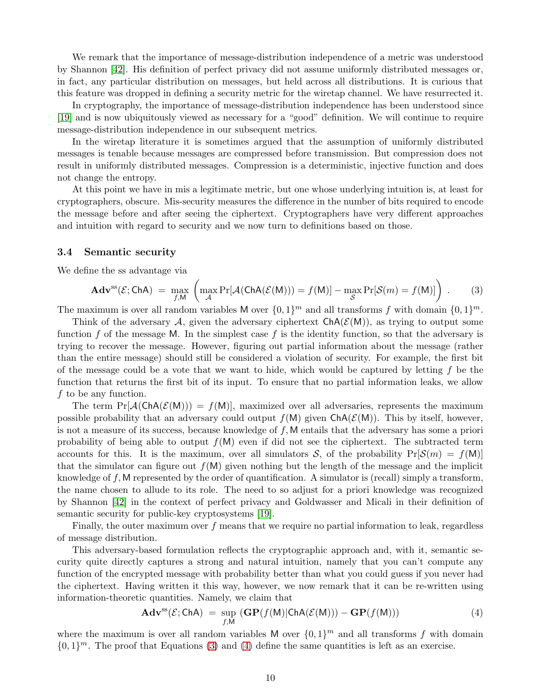<span id="page-9-3"></span>We remark that the importance of message-distribution independence of a metric was understood by Shannon [\[42\]](#page-27-9). His definition of perfect privacy did not assume uniformly distributed messages or, in fact, any particular distribution on messages, but held across all distributions. It is curious that this feature was dropped in defining a security metric for the wiretap channel. We have resurrected it.

In cryptography, the importance of message-distribution independence has been understood since [\[19\]](#page-26-1) and is now ubiquitously viewed as necessary for a "good" definition. We will continue to require message-distribution independence in our subsequent metrics.

In the wiretap literature it is sometimes argued that the assumption of uniformly distributed messages is tenable because messages are compressed before transmission. But compression does not result in uniformly distributed messages. Compression is a deterministic, injective function and does not change the entropy.

At this point we have in mis a legitimate metric, but one whose underlying intuition is, at least for cryptographers, obscure. Mis-security measures the difference in the number of bits required to encode the message before and after seeing the ciphertext. Cryptographers have very different approaches and intuition with regard to security and we now turn to definitions based on those.

#### <span id="page-9-0"></span>3.4 Semantic security

We define the ss advantage via

<span id="page-9-1"></span>
$$
\mathbf{Adv}^{\mathrm{ss}}(\mathcal{E};\mathsf{ChA}) = \max_{f,M} \left( \max_{\mathcal{A}} \Pr[\mathcal{A}(\mathsf{ChA}(\mathcal{E}(M))) = f(M)] - \max_{\mathcal{S}} \Pr[\mathcal{S}(m) = f(M)] \right) . \tag{3}
$$

The maximum is over all random variables M over  $\{0,1\}^m$  and all transforms f with domain  $\{0,1\}^m$ .

Think of the adversary A, given the adversary ciphertext  $\text{ChA}(\mathcal{E}(M))$ , as trying to output some function f of the message M. In the simplest case f is the identity function, so that the adversary is trying to recover the message. However, figuring out partial information about the message (rather than the entire message) should still be considered a violation of security. For example, the first bit of the message could be a vote that we want to hide, which would be captured by letting  $f$  be the function that returns the first bit of its input. To ensure that no partial information leaks, we allow f to be any function.

The term  $Pr[\mathcal{A}(Ch\mathcal{A}(\mathcal{E}(M)))]=f(M)$ , maximized over all adversaries, represents the maximum possible probability that an adversary could output  $f(M)$  given  $\text{ChA}(\mathcal{E}(M))$ . This by itself, however, is not a measure of its success, because knowledge of f, M entails that the adversary has some a priori probability of being able to output  $f(M)$  even if did not see the ciphertext. The subtracted term accounts for this. It is the maximum, over all simulators S, of the probability  $Pr[\mathcal{S}(m) = f(M)]$ that the simulator can figure out  $f(M)$  given nothing but the length of the message and the implicit knowledge of f, M represented by the order of quantification. A simulator is (recall) simply a transform, the name chosen to allude to its role. The need to so adjust for a priori knowledge was recognized by Shannon [\[42\]](#page-27-9) in the context of perfect privacy and Goldwasser and Micali in their definition of semantic security for public-key cryptosystems [\[19\]](#page-26-1).

Finally, the outer maximum over  $f$  means that we require no partial information to leak, regardless of message distribution.

This adversary-based formulation reflects the cryptographic approach and, with it, semantic security quite directly captures a strong and natural intuition, namely that you can't compute any function of the encrypted message with probability better than what you could guess if you never had the ciphertext. Having written it this way, however, we now remark that it can be re-written using information-theoretic quantities. Namely, we claim that

<span id="page-9-2"></span>
$$
\mathbf{Adv}^{\mathrm{ss}}(\mathcal{E};\mathsf{ChA}) = \sup_{f,\mathsf{M}} (\mathbf{GP}(f(\mathsf{M})|\mathsf{ChA}(\mathcal{E}(\mathsf{M}))) - \mathbf{GP}(f(\mathsf{M}))) \tag{4}
$$

where the maximum is over all random variables M over  $\{0,1\}^m$  and all transforms f with domain  $\{0,1\}^m$ . The proof that Equations [\(3\)](#page-9-1) and [\(4\)](#page-9-2) define the same quantities is left as an exercise.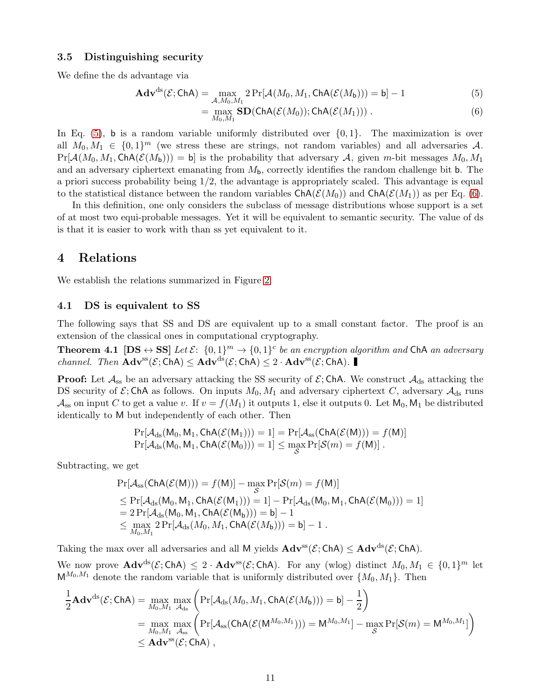#### <span id="page-10-0"></span>3.5 Distinguishing security

We define the ds advantage via

$$
\mathbf{Adv}^{\mathrm{ds}}(\mathcal{E};\mathsf{ChA}) = \max_{\mathcal{A},M_0,M_1} 2\Pr[\mathcal{A}(M_0,M_1,\mathsf{ChA}(\mathcal{E}(M_{\mathsf{b}}))) = \mathsf{b}] - 1
$$
 (5)

<span id="page-10-5"></span><span id="page-10-4"></span>
$$
= \max_{M_0, M_1} SD(ChA(\mathcal{E}(M_0)); ChA(\mathcal{E}(M_1))) . \tag{6}
$$

In Eq.  $(5)$ , b is a random variable uniformly distributed over  $\{0,1\}$ . The maximization is over all  $M_0, M_1 \in \{0, 1\}^m$  (we stress these are strings, not random variables) and all adversaries A.  $Pr[\mathcal{A}(M_0, M_1, Ch\mathcal{A}(\mathcal{E}(M_b)))]=\mathfrak{b}]$  is the probability that adversary A, given m-bit messages  $M_0, M_1$ and an adversary ciphertext emanating from  $M_{b}$ , correctly identifies the random challenge bit b. The a priori success probability being 1/2, the advantage is appropriately scaled. This advantage is equal to the statistical distance between the random variables  $\text{ChA}(\mathcal{E}(M_0))$  and  $\text{ChA}(\mathcal{E}(M_1))$  as per Eq. [\(6\)](#page-10-5).

In this definition, one only considers the subclass of message distributions whose support is a set of at most two equi-probable messages. Yet it will be equivalent to semantic security. The value of ds is that it is easier to work with than ss yet equivalent to it.

## <span id="page-10-1"></span>4 Relations

<span id="page-10-2"></span>We establish the relations summarized in Figure [2.](#page-4-0)

#### 4.1 DS is equivalent to SS

The following says that SS and DS are equivalent up to a small constant factor. The proof is an extension of the classical ones in computational cryptography.

**Theorem 4.1**  $[DS \leftrightarrow SS]$  *Let*  $\mathcal{E}: \{0,1\}^m \rightarrow \{0,1\}^c$  *be an encryption algorithm and* ChA *an adversary channel. Then*  $\mathbf{Adv}^{ss}(\mathcal{E}; \mathsf{ChA}) \leq \mathbf{Adv}^{ds}(\mathcal{E}; \mathsf{ChA}) \leq 2 \cdot \mathbf{Adv}^{ss}(\mathcal{E}; \mathsf{ChA})$ .

**Proof:** Let  $\mathcal{A}_{\text{ss}}$  be an adversary attacking the SS security of  $\mathcal{E}$ ; ChA. We construct  $\mathcal{A}_{\text{ds}}$  attacking the DS security of  $\mathcal{E}$ ; ChA as follows. On inputs  $M_0, M_1$  and adversary ciphertext C, adversary  $\mathcal{A}_{ds}$  runs  $\mathcal{A}_{ss}$  on input C to get a value v. If  $v = f(M_1)$  it outputs 1, else it outputs 0. Let  $M_0, M_1$  be distributed identically to M but independently of each other. Then

<span id="page-10-3"></span>
$$
\Pr[\mathcal{A}_{\mathrm{ds}}(\mathsf{M}_0, \mathsf{M}_1, \mathsf{ChA}(\mathcal{E}(\mathsf{M}_1))) = 1] = \Pr[\mathcal{A}_{\mathrm{ss}}(\mathsf{ChA}(\mathcal{E}(\mathsf{M}))) = f(\mathsf{M})] \Pr[\mathcal{A}_{\mathrm{ds}}(\mathsf{M}_0, \mathsf{M}_1, \mathsf{ChA}(\mathcal{E}(\mathsf{M}_0))) = 1] \le \max_{\mathcal{S}} \Pr[\mathcal{S}(m) = f(\mathsf{M})].
$$

Subtracting, we get

$$
\Pr[\mathcal{A}_{ss}(\text{ChA}(\mathcal{E}(M))) = f(M)] - \max_{\mathcal{S}} \Pr[\mathcal{S}(m) = f(M)] \leq \Pr[\mathcal{A}_{ds}(M_0, M_1, \text{ChA}(\mathcal{E}(M_1))) = 1] - \Pr[\mathcal{A}_{ds}(M_0, M_1, \text{ChA}(\mathcal{E}(M_0))) = 1] = 2 \Pr[\mathcal{A}_{ds}(M_0, M_1, \text{ChA}(\mathcal{E}(M_b))) = b] - 1 \leq \max_{M_0, M_1} 2 \Pr[\mathcal{A}_{ds}(M_0, M_1, \text{ChA}(\mathcal{E}(M_b))) = b] - 1.
$$

Taking the max over all adversaries and all M yields  $\mathbf{Adv}^{ss}(\mathcal{E};\mathsf{ChA}) \leq \mathbf{Adv}^{ds}(\mathcal{E};\mathsf{ChA}).$ 

We now prove  $\mathbf{Adv}^{ds}(\mathcal{E};\mathsf{ChA}) \leq 2 \cdot \mathbf{Adv}^{ss}(\mathcal{E};\mathsf{ChA})$ . For any (wlog) distinct  $M_0, M_1 \in \{0,1\}^m$  let  $M^{M_0,M_1}$  denote the random variable that is uniformly distributed over  $\{M_0, M_1\}$ . Then

$$
\begin{aligned} \frac{1}{2}\mathbf{Adv}^{\mathrm{ds}}(\mathcal{E};\mathsf{ChA})&=\max_{M_0,M_1}\max_{\mathcal{A}_{\mathrm{ds}}}\bigg(\mathrm{Pr}[\mathcal{A}_{\mathrm{ds}}(M_0,M_1,\mathsf{ChA}(\mathcal{E}(M_{b})))=\mathsf{b}]-\frac{1}{2}\bigg)\\ &=\max_{M_0,M_1}\max_{\mathcal{A}_{\mathrm{ss}}}\bigg(\mathrm{Pr}[\mathcal{A}_{\mathrm{ss}}(\mathsf{ChA}(\mathcal{E}(M^{M_0,M_1})))=\mathsf{M}^{M_0,M_1}]-\max_{\mathcal{S}}\mathrm{Pr}[\mathcal{S}(m)=\mathsf{M}^{M_0,M_1}]\bigg)\\ &\leq \mathbf{Adv}^{\mathrm{ss}}(\mathcal{E};\mathsf{ChA})\;, \end{aligned}
$$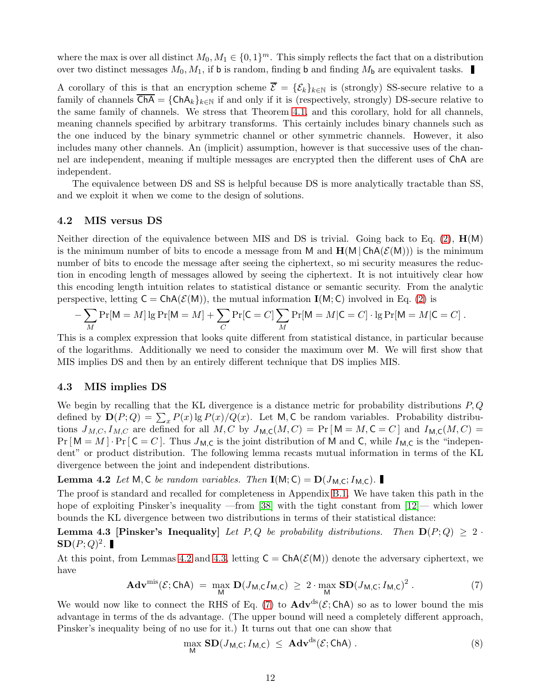<span id="page-11-6"></span>where the max is over all distinct  $M_0, M_1 \in \{0, 1\}^m$ . This simply reflects the fact that on a distribution over two distinct messages  $M_0, M_1$ , if **b** is random, finding **b** and finding  $M_b$  are equivalent tasks.

A corollary of this is that an encryption scheme  $\overline{\mathcal{E}} = {\mathcal{E}_k}_{k\in\mathbb{N}}$  is (strongly) SS-secure relative to a family of channels  $\overline{ChA} = {ChA_k}_{k\in\mathbb{N}}$  if and only if it is (respectively, strongly) DS-secure relative to the same family of channels. We stress that Theorem [4.1,](#page-10-3) and this corollary, hold for all channels, meaning channels specified by arbitrary transforms. This certainly includes binary channels such as the one induced by the binary symmetric channel or other symmetric channels. However, it also includes many other channels. An (implicit) assumption, however is that successive uses of the channel are independent, meaning if multiple messages are encrypted then the different uses of ChA are independent.

The equivalence between DS and SS is helpful because DS is more analytically tractable than SS, and we exploit it when we come to the design of solutions.

#### <span id="page-11-0"></span>4.2 MIS versus DS

Neither direction of the equivalence between MIS and DS is trivial. Going back to Eq. [\(2\)](#page-8-2),  $H(M)$ is the minimum number of bits to encode a message from M and  $H(M | ChA(\mathcal{E}(M)))$  is the minimum number of bits to encode the message after seeing the ciphertext, so mi security measures the reduction in encoding length of messages allowed by seeing the ciphertext. It is not intuitively clear how this encoding length intuition relates to statistical distance or semantic security. From the analytic perspective, letting  $C = ChA(\mathcal{E}(M))$ , the mutual information  $I(M; C)$  involved in Eq. [\(2\)](#page-8-2) is

$$
-\sum_{M} \Pr[M = M] \lg \Pr[M = M] + \sum_{C} \Pr[C = C] \sum_{M} \Pr[M = M | C = C] \cdot \lg \Pr[M = M | C = C].
$$

This is a complex expression that looks quite different from statistical distance, in particular because of the logarithms. Additionally we need to consider the maximum over M. We will first show that MIS implies DS and then by an entirely different technique that DS implies MIS.

#### <span id="page-11-1"></span>4.3 MIS implies DS

We begin by recalling that the KL divergence is a distance metric for probability distributions  $P, Q$ defined by  $\mathbf{D}(P;Q) = \sum_x P(x) \lg P(x) / Q(x)$ . Let M, C be random variables. Probability distributions  $J_{M,C}, I_{M,C}$  are defined for all  $M, C$  by  $J_{M,C}(M, C) = \Pr[M = M, C = C]$  and  $I_{M,C}(M, C) =$  $Pr[M = M] \cdot Pr[\mathsf{C} = C]$ . Thus  $J_{\mathsf{M},\mathsf{C}}$  is the joint distribution of M and C, while  $I_{\mathsf{M},\mathsf{C}}$  is the "independent" or product distribution. The following lemma recasts mutual information in terms of the KL divergence between the joint and independent distributions.

**Lemma 4.2** *Let* M, C *be random variables. Then*  $I(M; C) = D(J_{M,C}; I_{M,C})$ .

The proof is standard and recalled for completeness in Appendix [B.1.](#page-30-1) We have taken this path in the hope of exploiting Pinsker's inequality —from [\[38\]](#page-27-10) with the tight constant from [\[12\]](#page-26-7)— which lower bounds the KL divergence between two distributions in terms of their statistical distance:

**Lemma 4.3 [Pinsker's Inequality**] Let P, Q be probability distributions. Then  $D(P; Q) \geq 2$ .  $\mathbf{SD}(P;Q)^2$ .

<span id="page-11-4"></span>At this point, from Lemmas [4.2](#page-11-2) and [4.3,](#page-11-3) letting  $C = Ch(A(\mathcal{E}(M)))$  denote the adversary ciphertext, we have

$$
\mathbf{Adv}^{\mathrm{mis}}(\mathcal{E};\mathsf{ChA}) = \max_{\mathsf{M}} \mathbf{D}(J_{\mathsf{M},\mathsf{C}}I_{\mathsf{M},\mathsf{C}}) \geq 2 \cdot \max_{\mathsf{M}} \mathbf{SD}(J_{\mathsf{M},\mathsf{C}};I_{\mathsf{M},\mathsf{C}})^2. \tag{7}
$$

We would now like to connect the RHS of Eq. [\(7\)](#page-11-4) to  $\text{Adv}^{ds}(\mathcal{E}; \text{ChA})$  so as to lower bound the mis advantage in terms of the ds advantage. (The upper bound will need a completely different approach, Pinsker's inequality being of no use for it.) It turns out that one can show that

<span id="page-11-5"></span><span id="page-11-3"></span><span id="page-11-2"></span>
$$
\max_{\mathsf{M}} \mathbf{SD}(J_{\mathsf{M},\mathsf{C}}; I_{\mathsf{M},\mathsf{C}}) \leq \mathbf{Adv}^{\mathrm{ds}}(\mathcal{E};\mathsf{ChA}) . \tag{8}
$$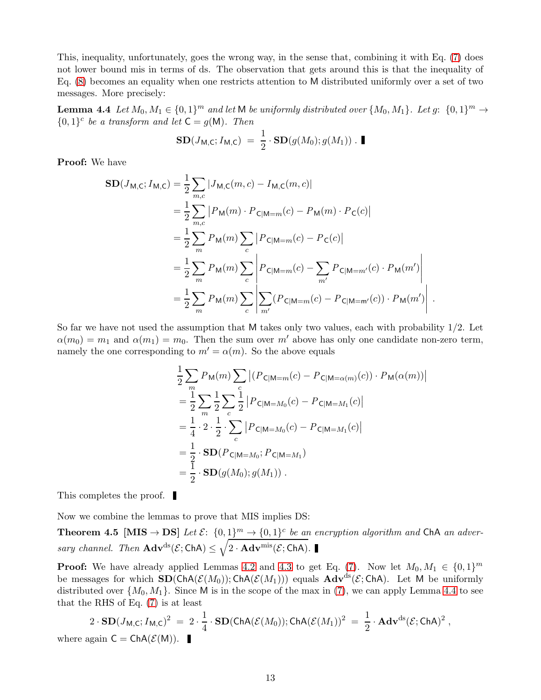This, inequality, unfortunately, goes the wrong way, in the sense that, combining it with Eq. [\(7\)](#page-11-4) does not lower bound mis in terms of ds. The observation that gets around this is that the inequality of Eq. [\(8\)](#page-11-5) becomes an equality when one restricts attention to M distributed uniformly over a set of two messages. More precisely:

**Lemma 4.4** Let  $M_0, M_1 \in \{0, 1\}^m$  and let M be uniformly distributed over  $\{M_0, M_1\}$ . Let  $g: \{0, 1\}^m \to$  ${0,1}^c$  *be a transform and let*  $C = g(M)$ *. Then* 

<span id="page-12-1"></span>
$$
\mathbf{SD}(J_{\mathsf{M},\mathsf{C}};I_{\mathsf{M},\mathsf{C}}) = \frac{1}{2} \cdot \mathbf{SD}(g(M_0);g(M_1)) \cdot \blacksquare
$$

Proof: We have

$$
\begin{split} \mathbf{SD}(J_{\mathsf{M},\mathsf{C}}; I_{\mathsf{M},\mathsf{C}}) &= \frac{1}{2} \sum_{m,c} |J_{\mathsf{M},\mathsf{C}}(m,c) - I_{\mathsf{M},\mathsf{C}}(m,c)| \\ &= \frac{1}{2} \sum_{m,c} |P_{\mathsf{M}}(m) \cdot P_{\mathsf{C}|\mathsf{M}=m}(c) - P_{\mathsf{M}}(m) \cdot P_{\mathsf{C}}(c)| \\ &= \frac{1}{2} \sum_{m} P_{\mathsf{M}}(m) \sum_{c} |P_{\mathsf{C}|\mathsf{M}=m}(c) - P_{\mathsf{C}}(c)| \\ &= \frac{1}{2} \sum_{m} P_{\mathsf{M}}(m) \sum_{c} \left| P_{\mathsf{C}|\mathsf{M}=m}(c) - \sum_{m'} P_{\mathsf{C}|\mathsf{M}=m'}(c) \cdot P_{\mathsf{M}}(m') \right| \\ &= \frac{1}{2} \sum_{m} P_{\mathsf{M}}(m) \sum_{c} \left| \sum_{m'} (P_{\mathsf{C}|\mathsf{M}=m}(c) - P_{\mathsf{C}|\mathsf{M}=m'}(c)) \cdot P_{\mathsf{M}}(m') \right| \, . \end{split}
$$

So far we have not used the assumption that M takes only two values, each with probability 1/2. Let  $\alpha(m_0) = m_1$  and  $\alpha(m_1) = m_0$ . Then the sum over m' above has only one candidate non-zero term, namely the one corresponding to  $m' = \alpha(m)$ . So the above equals

<span id="page-12-0"></span>
$$
\frac{1}{2} \sum_{m} P_{\mathsf{M}}(m) \sum_{c} |(P_{\mathsf{C}|\mathsf{M}=m}(c) - P_{\mathsf{C}|\mathsf{M}=\alpha(m)}(c)) \cdot P_{\mathsf{M}}(\alpha(m))|
$$
\n
$$
= \frac{1}{2} \sum_{m} \frac{1}{2} \sum_{c} \frac{1}{2} |P_{\mathsf{C}|\mathsf{M}=M_0}(c) - P_{\mathsf{C}|\mathsf{M}=M_1}(c)|
$$
\n
$$
= \frac{1}{4} \cdot 2 \cdot \frac{1}{2} \cdot \sum_{c} |P_{\mathsf{C}|\mathsf{M}=M_0}(c) - P_{\mathsf{C}|\mathsf{M}=M_1}(c)|
$$
\n
$$
= \frac{1}{2} \cdot \mathbf{SD}(P_{\mathsf{C}|\mathsf{M}=M_0}; P_{\mathsf{C}|\mathsf{M}=M_1})
$$
\n
$$
= \frac{1}{2} \cdot \mathbf{SD}(g(M_0); g(M_1)) .
$$

This completes the proof.

Now we combine the lemmas to prove that MIS implies DS:

Theorem 4.5 [MIS  $\rightarrow$  DS] Let  $\mathcal{E}$ :  $\{0, 1\}^m \rightarrow \{0, 1\}^c$  be an encryption algorithm and ChA an adver*sary channel. Then*  $\mathbf{Adv}^{ds}(\mathcal{E}; \mathsf{ChA}) \leq \sqrt{2 \cdot \mathbf{Adv}^{mis}(\mathcal{E}; \mathsf{ChA})}.$ 

**Proof:** We have already applied Lemmas [4.2](#page-11-2) and [4.3](#page-11-3) to get Eq. [\(7\)](#page-11-4). Now let  $M_0, M_1 \in \{0, 1\}^m$ be messages for which  $SD(ChA(\mathcal{E}(M_0)); ChA(\mathcal{E}(M_1)))$  equals  $Adv^{ds}(\mathcal{E}; ChA)$ . Let M be uniformly distributed over  $\{M_0, M_1\}$ . Since M is in the scope of the max in [\(7\)](#page-11-4), we can apply Lemma [4.4](#page-12-1) to see that the RHS of Eq. [\(7\)](#page-11-4) is at least

$$
2 \cdot SD(J_{M,C}; I_{M,C})^2 = 2 \cdot \frac{1}{4} \cdot SD(ChA(\mathcal{E}(M_0)); ChA(\mathcal{E}(M_1))^2 = \frac{1}{2} \cdot Adv^{ds}(\mathcal{E};ChA)^2,
$$
  
where again  $C = ChA(\mathcal{E}(M)).$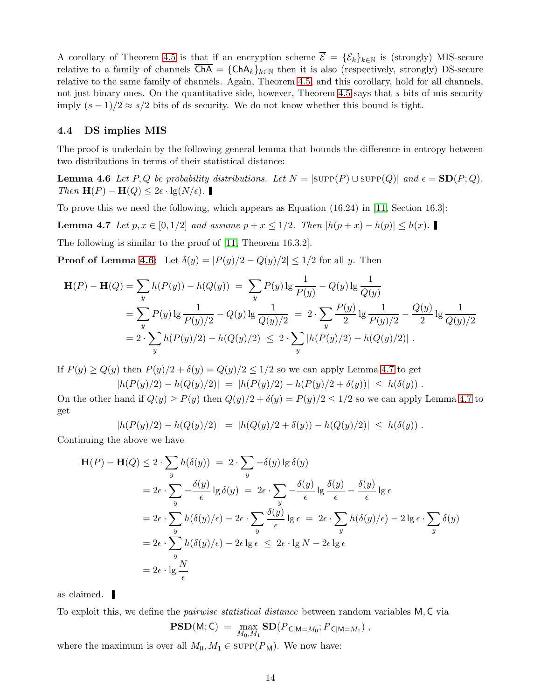<span id="page-13-4"></span>A corollary of Theorem [4.5](#page-12-0) is that if an encryption scheme  $\overline{\mathcal{E}} = {\{\mathcal{E}_k\}}_{k\in\mathbb{N}}$  is (strongly) MIS-secure relative to a family of channels  $\overline{ChA} = \{ChA_k\}_{k\in\mathbb{N}}$  then it is also (respectively, strongly) DS-secure relative to the same family of channels. Again, Theorem [4.5,](#page-12-0) and this corollary, hold for all channels, not just binary ones. On the quantitative side, however, Theorem [4.5](#page-12-0) says that s bits of mis security imply  $(s-1)/2 \approx s/2$  bits of ds security. We do not know whether this bound is tight.

### <span id="page-13-0"></span>4.4 DS implies MIS

<span id="page-13-1"></span>The proof is underlain by the following general lemma that bounds the difference in entropy between two distributions in terms of their statistical distance:

**Lemma 4.6** Let P, Q be probability distributions. Let  $N = |\text{SUPP}(P) \cup \text{SUPP}(Q)|$  and  $\epsilon = SD(P; Q)$ . *Then*  $\mathbf{H}(P) - \mathbf{H}(Q) \leq 2\epsilon \cdot \lg(N/\epsilon)$ .

<span id="page-13-2"></span>To prove this we need the following, which appears as Equation (16.24) in [\[11,](#page-26-8) Section 16.3]:

**Lemma 4.7** *Let*  $p, x \in [0, 1/2]$  *and assume*  $p + x \leq 1/2$ *. Then*  $|h(p + x) - h(p)| \leq h(x)$ *.*■

The following is similar to the proof of [\[11,](#page-26-8) Theorem 16.3.2].

**Proof of Lemma [4.6:](#page-13-1)** Let  $\delta(y) = |P(y)/2 - Q(y)/2| \leq 1/2$  for all y. Then

$$
\mathbf{H}(P) - \mathbf{H}(Q) = \sum_{y} h(P(y)) - h(Q(y)) = \sum_{y} P(y) \lg \frac{1}{P(y)} - Q(y) \lg \frac{1}{Q(y)}
$$
  
= 
$$
\sum_{y} P(y) \lg \frac{1}{P(y)/2} - Q(y) \lg \frac{1}{Q(y)/2} = 2 \cdot \sum_{y} \frac{P(y)}{2} \lg \frac{1}{P(y)/2} - \frac{Q(y)}{2} \lg \frac{1}{Q(y)/2}
$$
  
= 
$$
2 \cdot \sum_{y} h(P(y)/2) - h(Q(y)/2) \le 2 \cdot \sum_{y} |h(P(y)/2) - h(Q(y)/2)|.
$$

If  $P(y) \ge Q(y)$  then  $P(y)/2 + \delta(y) = Q(y)/2 \le 1/2$  so we can apply Lemma [4.7](#page-13-2) to get  $|h(P(y)/2) - h(Q(y)/2)| = |h(P(y)/2) - h(P(y)/2 + \delta(y))| \leq h(\delta(y)).$ 

On the other hand if  $Q(y) \ge P(y)$  then  $Q(y)/2 + \delta(y) = P(y)/2 \le 1/2$  so we can apply Lemma [4.7](#page-13-2) to get

$$
|h(P(y)/2) - h(Q(y)/2)| = |h(Q(y)/2 + \delta(y)) - h(Q(y)/2)| \leq h(\delta(y)).
$$

Continuing the above we have

$$
\mathbf{H}(P) - \mathbf{H}(Q) \le 2 \cdot \sum_{y} h(\delta(y)) = 2 \cdot \sum_{y} -\delta(y) \lg \delta(y)
$$
  
=  $2\epsilon \cdot \sum_{y} -\frac{\delta(y)}{\epsilon} \lg \delta(y) = 2\epsilon \cdot \sum_{y} -\frac{\delta(y)}{\epsilon} \lg \frac{\delta(y)}{\epsilon} - \frac{\delta(y)}{\epsilon} \lg \epsilon$   
=  $2\epsilon \cdot \sum_{y} h(\delta(y)/\epsilon) - 2\epsilon \cdot \sum_{y} \frac{\delta(y)}{\epsilon} \lg \epsilon = 2\epsilon \cdot \sum_{y} h(\delta(y)/\epsilon) - 2 \lg \epsilon \cdot \sum_{y} \delta(y)$   
=  $2\epsilon \cdot \sum_{y} h(\delta(y)/\epsilon) - 2\epsilon \lg \epsilon \le 2\epsilon \cdot \lg N - 2\epsilon \lg \epsilon$   
=  $2\epsilon \cdot \lg \frac{N}{\epsilon}$ 

as claimed.

To exploit this, we define the *pairwise statistical distance* between random variables M, C via

<span id="page-13-3"></span>
$$
\mathbf{PSD}(M;C) = \max_{M_0,M_1} \mathbf{SD}(P_{\mathsf{C}|M=M_0}; P_{\mathsf{C}|M=M_1}),
$$

where the maximum is over all  $M_0, M_1 \in \text{supp}(P_M)$ . We now have: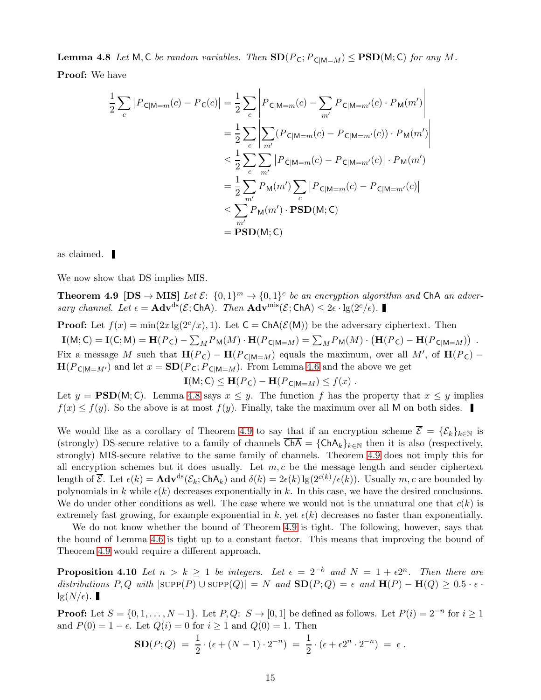**Lemma 4.8** Let M, C be random variables. Then  $SD(P_C; P_{C|M=M}) \leq PSD(M; C)$  for any M. Proof: We have

$$
\frac{1}{2} \sum_{c} |P_{\text{C}|M=m}(c) - P_{\text{C}}(c)| = \frac{1}{2} \sum_{c} \left| P_{\text{C}|M=m}(c) - \sum_{m'} P_{\text{C}|M=m'}(c) \cdot P_{\text{M}}(m') \right|
$$
  
\n
$$
= \frac{1}{2} \sum_{c} \left| \sum_{m'} (P_{\text{C}|M=m}(c) - P_{\text{C}|M=m'}(c)) \cdot P_{\text{M}}(m') \right|
$$
  
\n
$$
\leq \frac{1}{2} \sum_{c} \sum_{m'} |P_{\text{C}|M=m}(c) - P_{\text{C}|M=m'}(c)| \cdot P_{\text{M}}(m')
$$
  
\n
$$
= \frac{1}{2} \sum_{m'} P_{\text{M}}(m') \sum_{c} |P_{\text{C}|M=m}(c) - P_{\text{C}|M=m'}(c)|
$$
  
\n
$$
\leq \sum_{m'} P_{\text{M}}(m') \cdot \text{PSD}(M; C)
$$
  
\n
$$
= \text{PSD}(M; C)
$$

as claimed.

We now show that DS implies MIS.

**Theorem 4.9**  $[DS \rightarrow MIS]$  *Let*  $\mathcal{E}: \{0,1\}^m \rightarrow \{0,1\}^c$  *be an encryption algorithm and*  $ChA$  *an adversary channel. Let*  $\epsilon = \mathbf{Adv}^{ds}(\mathcal{E}; \mathsf{ChA})$ *. Then*  $\mathbf{Adv}^{mis}(\mathcal{E}; \mathsf{ChA}) \leq 2\epsilon \cdot \lg(2^c/\epsilon)$ *.* 

**Proof:** Let  $f(x) = min(2x \lg(2^{c}/x), 1)$ . Let  $C = ChA(\mathcal{E}(M))$  be the adversary ciphertext. Then  $\mathbf{I}(M; \mathsf{C}) = \mathbf{I}(C; M) = \mathbf{H}(P_{\mathsf{C}}) - \sum_{M} P_{\mathsf{M}}(M) \cdot \mathbf{H}(P_{\mathsf{C}|M=M}) = \sum_{M} P_{\mathsf{M}}(M) \cdot (\mathbf{H}(P_{\mathsf{C}}) - \mathbf{H}(P_{\mathsf{C}|M=M}))$ . Fix a message M such that  $H(P_C) - H(P_{C|M=M})$  equals the maximum, over all M', of  $H(P_C)$  –  $\mathbf{H}(P_{\mathsf{C}|M=M'})$  and let  $x = \mathbf{SD}(P_{\mathsf{C}}; P_{\mathsf{C}|M=M})$ . From Lemma [4.6](#page-13-1) and the above we get

<span id="page-14-0"></span> $\mathbf{I}(M; \mathsf{C}) \leq \mathbf{H}(P_{\mathsf{C}}) - \mathbf{H}(P_{\mathsf{C}|M=M}) \leq f(x)$ .

Let  $y = PSD(M; C)$ . Lemma [4.8](#page-13-3) says  $x \leq y$ . The function f has the property that  $x \leq y$  implies  $f(x) \leq f(y)$ . So the above is at most  $f(y)$ . Finally, take the maximum over all M on both sides.

We would like as a corollary of Theorem [4.9](#page-14-0) to say that if an encryption scheme  $\overline{\mathcal{E}} = {\{\mathcal{E}_k\}}_{k\in\mathbb{N}}$  is (strongly) DS-secure relative to a family of channels  $\overline{ChA} = \{ChA_k\}_{k\in\mathbb{N}}$  then it is also (respectively, strongly) MIS-secure relative to the same family of channels. Theorem [4.9](#page-14-0) does not imply this for all encryption schemes but it does usually. Let  $m, c$  be the message length and sender ciphertext length of  $\overline{\mathcal{E}}$ . Let  $\epsilon(k) = \mathbf{Adv}^{ds}(\mathcal{E}_k; \mathsf{ChA}_k)$  and  $\delta(k) = 2\epsilon(k) \lg(2^{c(k)}/\epsilon(k))$ . Usually  $m, c$  are bounded by polynomials in k while  $\epsilon(k)$  decreases exponentially in k. In this case, we have the desired conclusions. We do under other conditions as well. The case where we would not is the unnatural one that  $c(k)$  is extremely fast growing, for example exponential in k, yet  $\epsilon(k)$  decreases no faster than exponentially.

We do not know whether the bound of Theorem [4.9](#page-14-0) is tight. The following, however, says that the bound of Lemma [4.6](#page-13-1) is tight up to a constant factor. This means that improving the bound of Theorem [4.9](#page-14-0) would require a different approach.

**Proposition 4.10** Let  $n > k \ge 1$  be integers. Let  $\epsilon = 2^{-k}$  and  $N = 1 + \epsilon 2^{n}$ . Then there are distributions  $P, Q$  with  $|\text{supp}(P) \cup \text{supp}(Q)| = N$  and  $\text{SD}(P; Q) = \epsilon$  and  $\text{H}(P) - \text{H}(Q) \geq 0.5 \cdot \epsilon$ .  $\lg(N/\epsilon)$ .

**Proof:** Let  $S = \{0, 1, \ldots, N-1\}$ . Let  $P, Q: S \to [0, 1]$  be defined as follows. Let  $P(i) = 2^{-n}$  for  $i \ge 1$ and  $P(0) = 1 - \epsilon$ . Let  $Q(i) = 0$  for  $i \ge 1$  and  $Q(0) = 1$ . Then

$$
\mathbf{SD}(P; Q) = \frac{1}{2} \cdot (\epsilon + (N - 1) \cdot 2^{-n}) = \frac{1}{2} \cdot (\epsilon + \epsilon 2^n \cdot 2^{-n}) = \epsilon.
$$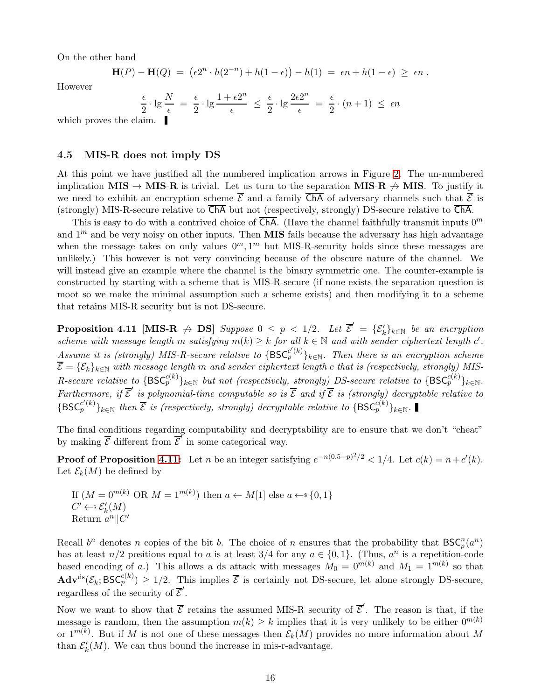On the other hand

$$
\mathbf{H}(P) - \mathbf{H}(Q) = (\epsilon 2^n \cdot h(2^{-n}) + h(1 - \epsilon)) - h(1) = \epsilon n + h(1 - \epsilon) \ge \epsilon n.
$$

However

$$
\frac{\epsilon}{2} \cdot \lg \frac{N}{\epsilon} = \frac{\epsilon}{2} \cdot \lg \frac{1 + \epsilon 2^n}{\epsilon} \le \frac{\epsilon}{2} \cdot \lg \frac{2\epsilon 2^n}{\epsilon} = \frac{\epsilon}{2} \cdot (n+1) \le \epsilon n
$$

which proves the claim.

### <span id="page-15-0"></span>4.5 MIS-R does not imply DS

At this point we have justified all the numbered implication arrows in Figure [2.](#page-4-0) The un-numbered implication MIS  $\rightarrow$  MIS-R is trivial. Let us turn to the separation MIS-R  $\rightarrow$  MIS. To justify it we need to exhibit an encryption scheme  $\overline{\mathcal{E}}$  and a family  $\overline{\mathsf{ChA}}$  of adversary channels such that  $\overline{\mathcal{E}}$  is (strongly) MIS-R-secure relative to  $\overline{ChA}$  but not (respectively, strongly) DS-secure relative to  $\overline{ChA}$ .

This is easy to do with a contrived choice of  $\overline{ChA}$ . (Have the channel faithfully transmit inputs  $0^m$ and  $1<sup>m</sup>$  and be very noisy on other inputs. Then **MIS** fails because the adversary has high advantage when the message takes on only values  $0^m, 1^m$  but MIS-R-security holds since these messages are unlikely.) This however is not very convincing because of the obscure nature of the channel. We will instead give an example where the channel is the binary symmetric one. The counter-example is constructed by starting with a scheme that is MIS-R-secure (if none exists the separation question is moot so we make the minimal assumption such a scheme exists) and then modifying it to a scheme that retains MIS-R security but is not DS-secure.

<span id="page-15-1"></span>**Proposition 4.11 [MIS-R**  $\rightarrow$  **DS**] *Suppose*  $0 \leq p < 1/2$ *. Let*  $\overline{\mathcal{E}}' = {\mathcal{E}'_k}_{k\in\mathbb{N}}$  *be an encryption scheme with message length* m *satisfying*  $m(k) \geq k$  *for all*  $k \in \mathbb{N}$  *and with sender ciphertext length*  $c'$ *.*  $\overline{A}$ *ssume it is (strongly) MIS-R-secure relative to* { $BSC_p^{c'(k)}$ }<sub>k∈N</sub>. Then there is an encryption scheme  $\mathcal{E} = \{\mathcal{E}_k\}_{k\in\mathbb{N}}$  with message length m and sender ciphertext length c that is (respectively, strongly) MIS- $R\text{-}secure\ relative\ to\ \{\textsf{BSC}_p^{c(k)}\}_{k\in\mathbb{N}}\ but\ not\ (respectively,\ strongly)\ DS\text{-}secure\ relative\ to\ \{\textsf{BSC}_p^{c(k)}\}_{k\in\mathbb{N}}.$ *Furthermore, if*  $\overline{\mathcal{E}}'$  *is polynomial-time computable so is*  $\overline{\mathcal{E}}$  *and if*  $\overline{\mathcal{E}}$  *is (strongly) decryptable relative to*  $\{BSC^{c'(k)}_p\}_{k\in\mathbb{N}}$  *then*  $\overline{\mathcal{E}}$  *is (respectively, strongly) decryptable relative to*  $\{BSC^{c(k)}_p\}_{k\in\mathbb{N}}$ .

The final conditions regarding computability and decryptability are to ensure that we don't "cheat" by making  $\overline{\mathcal{E}}$  different from  $\overline{\mathcal{E}}^{\prime}$  in some categorical way.

**Proof of Proposition [4.11:](#page-15-1)** Let n be an integer satisfying  $e^{-n(0.5-p)^2/2} < 1/4$ . Let  $c(k) = n + c'(k)$ . Let  $\mathcal{E}_k(M)$  be defined by

If  $(M = 0^{m(k)} \text{ OR } M = 1^{m(k)})$  then  $a \leftarrow M[1]$  else  $a \leftarrow s \{0, 1\}$  $C' \leftarrow \mathcal{E}'_k(M)$ Return  $a^n$ ||C'

Recall  $b^n$  denotes n copies of the bit b. The choice of n ensures that the probability that  $BSC_p^n(a^n)$ p has at least  $n/2$  positions equal to a is at least  $3/4$  for any  $a \in \{0,1\}$ . (Thus,  $a^n$  is a repetition-code based encoding of a.) This allows a ds attack with messages  $M_0 = 0^{m(k)}$  and  $M_1 = 1^{m(k)}$  so that  $\mathbf{Adv}^{\text{ds}}(\mathcal{E}_k; \text{BSC}_{p}^{c(k)}) \geq 1/2.$  This implies  $\overline{\mathcal{E}}$  is certainly not DS-secure, let alone strongly DS-secure, regardless of the security of  $\overline{\mathcal{E}}'$ .

Now we want to show that  $\overline{\mathcal{E}}$  retains the assumed MIS-R security of  $\overline{\mathcal{E}}'$ . The reason is that, if the message is random, then the assumption  $m(k) \geq k$  implies that it is very unlikely to be either  $0^{m(k)}$ or  $1^{m(k)}$ . But if M is not one of these messages then  $\mathcal{E}_k(M)$  provides no more information about M than  $\mathcal{E}'_k(M)$ . We can thus bound the increase in mis-r-advantage.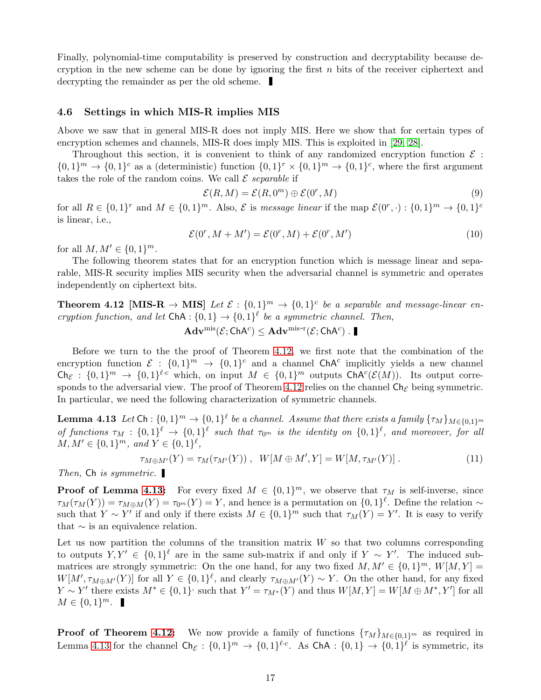<span id="page-16-3"></span>Finally, polynomial-time computability is preserved by construction and decryptability because decryption in the new scheme can be done by ignoring the first  $n$  bits of the receiver ciphertext and decrypting the remainder as per the old scheme.

#### <span id="page-16-0"></span>4.6 Settings in which MIS-R implies MIS

Above we saw that in general MIS-R does not imply MIS. Here we show that for certain types of encryption schemes and channels, MIS-R does imply MIS. This is exploited in [\[29,](#page-27-6) [28\]](#page-27-7).

Throughout this section, it is convenient to think of any randomized encryption function  $\mathcal E$ :  $\{0,1\}^m \to \{0,1\}^c$  as a (deterministic) function  $\{0,1\}^r \times \{0,1\}^m \to \{0,1\}^c$ , where the first argument takes the role of the random coins. We call  $\mathcal E$  *separable* if

$$
\mathcal{E}(R,M) = \mathcal{E}(R,0^m) \oplus \mathcal{E}(0^r,M)
$$
\n(9)

for all  $R \in \{0,1\}^r$  and  $M \in \{0,1\}^m$ . Also,  $\mathcal E$  is *message linear* if the map  $\mathcal E(0^r, \cdot) : \{0,1\}^m \to \{0,1\}^c$ is linear, i.e.,

$$
\mathcal{E}(0^r, M + M') = \mathcal{E}(0^r, M) + \mathcal{E}(0^r, M')
$$
\n(10)

for all  $M, M' \in \{0, 1\}^m$ .

The following theorem states that for an encryption function which is message linear and separable, MIS-R security implies MIS security when the adversarial channel is symmetric and operates independently on ciphertext bits.

<span id="page-16-1"></span>**Theorem 4.12** [MIS-R  $\rightarrow$  MIS] Let  $\mathcal{E} : \{0,1\}^m \rightarrow \{0,1\}^c$  be a separable and message-linear en*cryption function, and let*  $\text{ChA}: \{0, 1\} \rightarrow \{0, 1\}^{\ell}$  *be a symmetric channel. Then,* 

$$
\mathbf{Adv}^{\mathrm{mis}}(\mathcal{E};\mathsf{ChA}^c) \leq \mathbf{Adv}^{\mathrm{mis-r}}(\mathcal{E};\mathsf{ChA}^c) \ .
$$

Before we turn to the the proof of Theorem [4.12,](#page-16-1) we first note that the combination of the encryption function  $\mathcal{E} : \{0,1\}^m \to \{0,1\}^c$  and a channel ChA<sup>c</sup> implicitly yields a new channel  $\mathsf{Ch}_{\mathcal{E}}: \{0,1\}^m \to \{0,1\}^{\ell \cdot c}$  which, on input  $M \in \{0,1\}^m$  outputs  $\mathsf{ChA}^c(\mathcal{E}(M))$ . Its output corre-sponds to the adversarial view. The proof of Theorem [4.12](#page-16-1) relies on the channel  $\mathsf{Ch}_\mathcal{E}$  being symmetric. In particular, we need the following characterization of symmetric channels.

<span id="page-16-2"></span>**Lemma 4.13** Let  $\textsf{Ch}: \{0,1\}^m \to \{0,1\}^{\ell}$  be a channel. Assume that there exists a family  $\{\tau_M\}_{M \in \{0,1\}^m}$ *of functions*  $\tau_M$  :  $\{0,1\}^{\ell} \to \{0,1\}^{\ell}$  such that  $\tau_{0^m}$  is the identity on  $\{0,1\}^{\ell}$ , and moreover, for all  $M, M' \in \{0, 1\}^m$ , and  $Y \in \{0, 1\}^{\ell}$ ,

$$
\tau_{M \oplus M'}(Y) = \tau_M(\tau_{M'}(Y)), \ \ W[M \oplus M', Y] = W[M, \tau_{M'}(Y)]. \tag{11}
$$

*Then,* Ch *is symmetric.*

**Proof of Lemma [4.13:](#page-16-2)** For every fixed  $M \in \{0,1\}^m$ , we observe that  $\tau_M$  is self-inverse, since  $\tau_M(\tau_M(Y)) = \tau_{M\oplus M}(Y) = \tau_{0^m}(Y) = Y$ , and hence is a permutation on  $\{0,1\}^{\ell}$ . Define the relation  $\sim$ such that  $Y \sim Y'$  if and only if there exists  $M \in \{0,1\}^m$  such that  $\tau_M(Y) = Y'$ . It is easy to verify that  $\sim$  is an equivalence relation.

Let us now partition the columns of the transition matrix  $W$  so that two columns corresponding to outputs  $Y, Y' \in \{0,1\}^{\ell}$  are in the same sub-matrix if and only if  $Y \sim Y'$ . The induced submatrices are strongly symmetric: On the one hand, for any two fixed  $M, M' \in \{0, 1\}^m$ ,  $W[M, Y] =$  $W[M', \tau_{M\oplus M'}(Y)]$  for all  $Y \in \{0,1\}^{\ell}$ , and clearly  $\tau_{M\oplus M'}(Y) \sim Y$ . On the other hand, for any fixed  $Y \sim Y'$  there exists  $M^* \in \{0,1\}$  such that  $Y' = \tau_{M^*}(Y)$  and thus  $W[M, Y] = W[M \oplus M^*, Y']$  for all  $M \in \{0, 1\}^m$ .

**Proof of Theorem [4.12:](#page-16-1)** We now provide a family of functions  $\{\tau_M\}_{M\in\{0,1\}^m}$  as required in Lemma [4.13](#page-16-2) for the channel  $\mathsf{Ch}_{\mathcal{E}}: \{0,1\}^m \to \{0,1\}^{\ell \cdot c}$ . As  $\mathsf{ChA}: \{0,1\} \to \{0,1\}^{\ell}$  is symmetric, its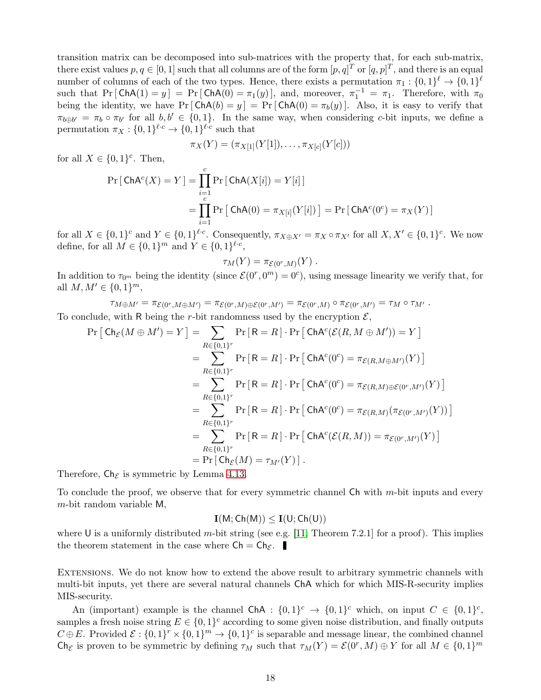<span id="page-17-0"></span>transition matrix can be decomposed into sub-matrices with the property that, for each sub-matrix, there exist values  $p, q \in [0, 1]$  such that all columns are of the form  $[p, q]^T$  or  $[q, p]^T$ , and there is an equal number of columns of each of the two types. Hence, there exists a permutation  $\pi_1: \{0,1\}^{\ell} \to \{0,1\}^{\ell}$ such that  $Pr[ChA(1) = y] = Pr[ChA(0) = \pi_1(y)]$ , and, moreover,  $\pi_1^{-1} = \pi_1$ . Therefore, with  $\pi_0$ being the identity, we have  $Pr[\text{ChA}(b) = y] = Pr[\text{ChA}(0) = \pi_b(y)]$ . Also, it is easy to verify that  $\pi_{b\oplus b'} = \pi_b \circ \pi_{b'}$  for all  $b, b' \in \{0, 1\}$ . In the same way, when considering c-bit inputs, we define a permutation  $\pi_X: \{0,1\}^{\ell \cdot c} \to \{0,1\}^{\ell \cdot c}$  such that

$$
\pi_X(Y) = (\pi_{X[1]}(Y[1]), \ldots, \pi_{X[c]}(Y[c]))
$$

for all  $X \in \{0,1\}^c$ . Then,

$$
\Pr\left[\text{ChA}^c(X) = Y\right] = \prod_{i=1}^c \Pr\left[\text{ChA}(X[i]) = Y[i]\right]
$$

$$
= \prod_{i=1}^c \Pr\left[\text{ChA}(0) = \pi_{X[i]}(Y[i])\right] = \Pr\left[\text{ChA}^c(0^c) = \pi_X(Y)\right]
$$

for all  $X \in \{0,1\}^c$  and  $Y \in \{0,1\}^{\ell \cdot c}$ . Consequently,  $\pi_{X \oplus X'} = \pi_X \circ \pi_{X'}$  for all  $X, X' \in \{0,1\}^c$ . We now define, for all  $M \in \{0, 1\}^m$  and  $Y \in \{0, 1\}^{\ell \cdot c}$ ,

$$
\tau_M(Y) = \pi_{\mathcal{E}(0^r,M)}(Y) .
$$

In addition to  $\tau_{0^m}$  being the identity (since  $\mathcal{E}(0^r, 0^m) = 0^c$ ), using message linearity we verify that, for all  $M, M' \in \{0, 1\}^m$ ,

 $\tau_{M\oplus M'}=\pi_{\mathcal{E}(0^r,M\oplus M')}=\pi_{\mathcal{E}(0^r,M)\oplus \mathcal{E}(0^r,M')}=\pi_{\mathcal{E}(0^r,M)}\circ \pi_{\mathcal{E}(0^r,M')}=\tau_M\circ \tau_{M'}$ .

To conclude, with R being the r-bit randomness used by the encryption  $\mathcal{E}$ ,

$$
\Pr\left[\mathsf{Ch}_{\mathcal{E}}(M\oplus M')=Y\right] = \sum_{R\in\{0,1\}^r} \Pr\left[\mathsf{R}=R\right] \cdot \Pr\left[\mathsf{ChA}^c(\mathcal{E}(R,M\oplus M'))=Y\right]
$$
\n
$$
= \sum_{R\in\{0,1\}^r} \Pr\left[\mathsf{R}=R\right] \cdot \Pr\left[\mathsf{ChA}^c(0^c) = \pi_{\mathcal{E}(R,M\oplus M')}(Y)\right]
$$
\n
$$
= \sum_{R\in\{0,1\}^r} \Pr\left[\mathsf{R}=R\right] \cdot \Pr\left[\mathsf{ChA}^c(0^c) = \pi_{\mathcal{E}(R,M)\oplus\mathcal{E}(0^r,M')}(Y)\right]
$$
\n
$$
= \sum_{R\in\{0,1\}^r} \Pr\left[\mathsf{R}=R\right] \cdot \Pr\left[\mathsf{ChA}^c(0^c) = \pi_{\mathcal{E}(R,M)}(\pi_{\mathcal{E}(0^r,M')}(Y))\right]
$$
\n
$$
= \sum_{R\in\{0,1\}^r} \Pr\left[\mathsf{R}=R\right] \cdot \Pr\left[\mathsf{ChA}^c(\mathcal{E}(R,M)) = \pi_{\mathcal{E}(0^r,M')}(Y)\right]
$$
\n
$$
= \Pr\left[\mathsf{Ch}_{\mathcal{E}}(M) = \tau_{M'}(Y)\right].
$$
\nfor

Therefore,  $\mathsf{Ch}_{\mathcal{E}}$  is symmetric by Lemma [4.13.](#page-16-2)

To conclude the proof, we observe that for every symmetric channel  $\mathsf{Ch}$  with m-bit inputs and every m-bit random variable M,

$$
\mathbf{I}(M;Ch(M))\leq \mathbf{I}(U;Ch(U))
$$

where U is a uniformly distributed m-bit string (see e.g. [\[11,](#page-26-8) Theorem 7.2.1] for a proof). This implies the theorem statement in the case where  $\mathsf{Ch} = \mathsf{Ch}_{\mathcal{E}}$ .

Extensions. We do not know how to extend the above result to arbitrary symmetric channels with multi-bit inputs, yet there are several natural channels ChA which for which MIS-R-security implies MIS-security.

An (important) example is the channel ChA :  $\{0,1\}^c \rightarrow \{0,1\}^c$  which, on input  $C \in \{0,1\}^c$ , samples a fresh noise string  $E \in \{0,1\}^c$  according to some given noise distribution, and finally outputs  $C \oplus E$ . Provided  $\mathcal{E} : \{0,1\}^r \times \{0,1\}^m \to \{0,1\}^c$  is separable and message linear, the combined channel Ch<sub>E</sub> is proven to be symmetric by defining  $\tau_M$  such that  $\tau_M(Y) = \mathcal{E}(0^r, M) \oplus Y$  for all  $M \in \{0, 1\}^m$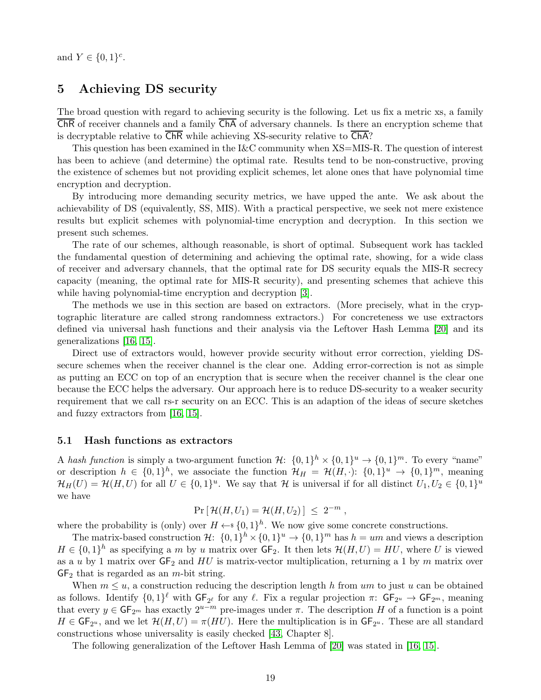<span id="page-18-3"></span>and  $Y \in \{0, 1\}^c$ .

# <span id="page-18-0"></span>5 Achieving DS security

The broad question with regard to achieving security is the following. Let us fix a metric xs, a family ChR of receiver channels and a family ChA of adversary channels. Is there an encryption scheme that is decryptable relative to  $\overline{\text{ChR}}$  while achieving XS-security relative to  $\overline{\text{ChA}}$ ?

This question has been examined in the I&C community when XS=MIS-R. The question of interest has been to achieve (and determine) the optimal rate. Results tend to be non-constructive, proving the existence of schemes but not providing explicit schemes, let alone ones that have polynomial time encryption and decryption.

By introducing more demanding security metrics, we have upped the ante. We ask about the achievability of DS (equivalently, SS, MIS). With a practical perspective, we seek not mere existence results but explicit schemes with polynomial-time encryption and decryption. In this section we present such schemes.

The rate of our schemes, although reasonable, is short of optimal. Subsequent work has tackled the fundamental question of determining and achieving the optimal rate, showing, for a wide class of receiver and adversary channels, that the optimal rate for DS security equals the MIS-R secrecy capacity (meaning, the optimal rate for MIS-R security), and presenting schemes that achieve this while having polynomial-time encryption and decryption [\[3\]](#page-25-2).

The methods we use in this section are based on extractors. (More precisely, what in the cryptographic literature are called strong randomness extractors.) For concreteness we use extractors defined via universal hash functions and their analysis via the Leftover Hash Lemma [\[20\]](#page-26-4) and its generalizations [\[16,](#page-26-5) [15\]](#page-26-6).

Direct use of extractors would, however provide security without error correction, yielding DSsecure schemes when the receiver channel is the clear one. Adding error-correction is not as simple as putting an ECC on top of an encryption that is secure when the receiver channel is the clear one because the ECC helps the adversary. Our approach here is to reduce DS-security to a weaker security requirement that we call rs-r security on an ECC. This is an adaption of the ideas of secure sketches and fuzzy extractors from [\[16,](#page-26-5) [15\]](#page-26-6).

#### <span id="page-18-1"></span>5.1 Hash functions as extractors

A *hash function* is simply a two-argument function  $\mathcal{H}$ :  $\{0,1\}^h \times \{0,1\}^u \rightarrow \{0,1\}^m$ . To every "name" or description  $h \in \{0,1\}^h$ , we associate the function  $\mathcal{H}_H = \mathcal{H}(H, \cdot)$ :  $\{0,1\}^u \to \{0,1\}^m$ , meaning  $\mathcal{H}_H(U) = \mathcal{H}(H, U)$  for all  $U \in \{0, 1\}^u$ . We say that  $\mathcal{H}$  is universal if for all distinct  $U_1, U_2 \in \{0, 1\}^u$ we have

$$
\Pr[\mathcal{H}(H,U_1)=\mathcal{H}(H,U_2)]\ \leq\ 2^{-m}\ ,
$$

where the probability is (only) over  $H \leftarrow \{0, 1\}^h$ . We now give some concrete constructions.

The matrix-based construction  $\mathcal{H}$ :  $\{0,1\}^h \times \{0,1\}^u \to \{0,1\}^m$  has  $h = um$  and views a description  $H \in \{0,1\}^h$  as specifying a m by u matrix over  $GF_2$ . It then lets  $\mathcal{H}(H, U) = HU$ , where U is viewed as a u by 1 matrix over  $GF_2$  and HU is matrix-vector multiplication, returning a 1 by m matrix over  $GF<sub>2</sub>$  that is regarded as an *m*-bit string.

When  $m \leq u$ , a construction reducing the description length h from um to just u can be obtained as follows. Identify  $\{0,1\}^{\ell}$  with  $\mathsf{GF}_{2^{\ell}}$  for any  $\ell$ . Fix a regular projection  $\pi: \mathsf{GF}_{2^u} \to \mathsf{GF}_{2^m}$ , meaning that every  $y \in \mathsf{GF}_{2^m}$  has exactly  $2^{u-m}$  pre-images under  $\pi$ . The description H of a function is a point  $H \in \mathsf{GF}_{2^u}$ , and we let  $\mathcal{H}(H, U) = \pi(HU)$ . Here the multiplication is in  $\mathsf{GF}_{2^u}$ . These are all standard constructions whose universality is easily checked [\[43,](#page-27-11) Chapter 8].

<span id="page-18-2"></span>The following generalization of the Leftover Hash Lemma of [\[20\]](#page-26-4) was stated in [\[16,](#page-26-5) [15\]](#page-26-6).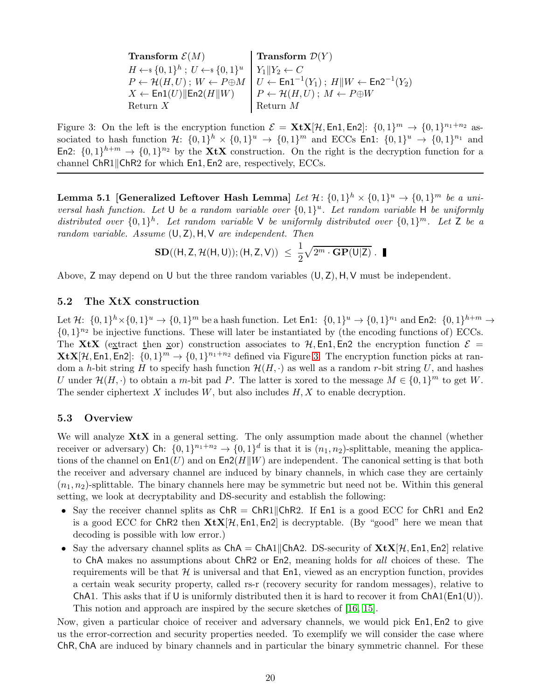<span id="page-19-3"></span>

| <b>Transform</b> $\mathcal{E}(M)$                                                                                               | <b>Transform</b> $\mathcal{D}(Y)$                                                                                                                  |  |  |  |
|---------------------------------------------------------------------------------------------------------------------------------|----------------------------------------------------------------------------------------------------------------------------------------------------|--|--|--|
| $H \leftarrow \hspace{-3.75mm} \{ 0,1 \}^h \ ; \ U \leftarrow \hspace{-3.75mm} \{ 0,1 \}^u \ \ \big  \ Y_1 \  Y_2 \leftarrow C$ |                                                                                                                                                    |  |  |  |
|                                                                                                                                 | $P \leftarrow \mathcal{H}(H, U)$ ; $W \leftarrow P \oplus M \mid U \leftarrow \mathsf{En1}^{-1}(Y_1)$ ; $H \  W \leftarrow \mathsf{En2}^{-1}(Y_2)$ |  |  |  |
| $X \leftarrow \textsf{En1}(U) \ \textsf{En2}(H\ W)$                                                                             | $P \leftarrow \mathcal{H}(H, U); M \leftarrow P \oplus W$                                                                                          |  |  |  |
| Return $X$                                                                                                                      | Return $M$                                                                                                                                         |  |  |  |

<span id="page-19-2"></span>Figure 3: On the left is the encryption function  $\mathcal{E} = \mathbf{X} \mathbf{t} \mathbf{X} [\mathcal{H}, \text{En1}, \text{En2}]$ :  $\{0, 1\}^m \to \{0, 1\}^{n_1+n_2}$  associated to hash function  $\mathcal{H}$ :  $\{0,1\}^h \times \{0,1\}^u \rightarrow \{0,1\}^m$  and ECCs En1:  $\{0,1\}^u \rightarrow \{0,1\}^{n_1}$  and En2:  $\{0,1\}^{h+m} \rightarrow \{0,1\}^{n_2}$  by the **XtX** construction. On the right is the decryption function for a channel  $ChR1||ChR2$  for which  $En1, En2$  are, respectively, ECCs.

Lemma 5.1 [Generalized Leftover Hash Lemma] *Let*  $\mathcal{H}$ :  $\{0,1\}^h \times \{0,1\}^u \to \{0,1\}^m$  *be a universal hash function. Let* U *be a random variable over*  $\{0,1\}^u$ . Let random variable H *be uniformly* distributed over  $\{0,1\}^h$ . Let random variable V be uniformly distributed over  $\{0,1\}^m$ . Let Z be a *random variable. Assume* (U, Z), H,V *are independent. Then*

$$
\mathbf{SD}((H, Z, \mathcal{H}(H, U)); (H, Z, V)) \leq \frac{1}{2} \sqrt{2^m \cdot \mathbf{GP}(U|Z)} \cdot \blacksquare
$$

Above,  $Z$  may depend on U but the three random variables  $(U, Z)$ ,  $H, V$  must be independent.

## <span id="page-19-0"></span>5.2 The XtX construction

Let  $\mathcal{H}$ :  $\{0,1\}^h \times \{0,1\}^u \to \{0,1\}^m$  be a hash function. Let  $\text{En1: } \{0,1\}^u \to \{0,1\}^{n_1}$  and  $\text{En2: } \{0,1\}^{h+m} \to$  $\{0,1\}^{n_2}$  be injective functions. These will later be instantiated by (the encoding functions of) ECCs. The XtX (extract then xor) construction associates to H, En1, En2 the encryption function  $\mathcal{E} =$  $\mathbf{X} \mathbf{t} \mathbf{X} [\mathcal{H}, \mathsf{En1}, \mathsf{En2}]$ :  $\{0, 1\}^m \to \{0, 1\}^{n_1+n_2}$  defined via Figure [3.](#page-19-2) The encryption function picks at random a h-bit string H to specify hash function  $\mathcal{H}(H, \cdot)$  as well as a random r-bit string U, and hashes U under  $\mathcal{H}(H, \cdot)$  to obtain a m-bit pad P. The latter is xored to the message  $M \in \{0, 1\}^m$  to get W. The sender ciphertext  $X$  includes  $W$ , but also includes  $H, X$  to enable decryption.

## <span id="page-19-1"></span>5.3 Overview

We will analyze  $X$ t $X$  in a general setting. The only assumption made about the channel (whether receiver or adversary) Ch:  $\{0,1\}^{n_1+n_2} \to \{0,1\}^d$  is that it is  $(n_1,n_2)$ -splittable, meaning the applications of the channel on  $\text{En1}(U)$  and on  $\text{En2}(H||W)$  are independent. The canonical setting is that both the receiver and adversary channel are induced by binary channels, in which case they are certainly  $(n_1, n_2)$ -splittable. The binary channels here may be symmetric but need not be. Within this general setting, we look at decryptability and DS-security and establish the following:

- Say the receiver channel splits as  $ChR = ChR1||ChR2$ . If En1 is a good ECC for ChR1 and En2 is a good ECC for ChR2 then  $\mathbf{X} \in \mathbb{X}$  [H, En1, En2] is decryptable. (By "good" here we mean that decoding is possible with low error.)
- Say the adversary channel splits as  $ChA = ChA1||ChA2$ . DS-security of  $XtX[\mathcal{H}, En1, En2]$  relative to ChA makes no assumptions about ChR2 or En2, meaning holds for *all* choices of these. The requirements will be that  $H$  is universal and that  $En1$ , viewed as an encryption function, provides a certain weak security property, called rs-r (recovery security for random messages), relative to ChA1. This asks that if U is uniformly distributed then it is hard to recover it from  $ChA1(En1(U))$ . This notion and approach are inspired by the secure sketches of [\[16,](#page-26-5) [15\]](#page-26-6).

Now, given a particular choice of receiver and adversary channels, we would pick En1, En2 to give us the error-correction and security properties needed. To exemplify we will consider the case where ChR, ChA are induced by binary channels and in particular the binary symmetric channel. For these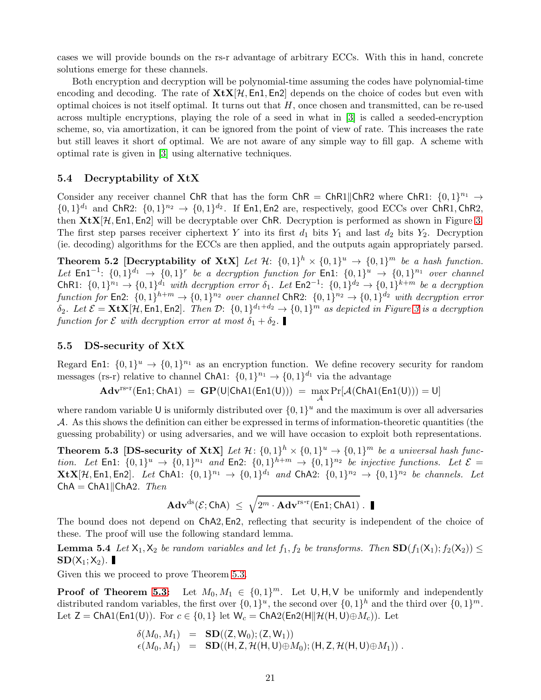<span id="page-20-4"></span>cases we will provide bounds on the rs-r advantage of arbitrary ECCs. With this in hand, concrete solutions emerge for these channels.

Both encryption and decryption will be polynomial-time assuming the codes have polynomial-time encoding and decoding. The rate of  $\mathbf{X} \in \mathbb{X}[\mathcal{H}, \mathsf{En1}, \mathsf{En2}]$  depends on the choice of codes but even with optimal choices is not itself optimal. It turns out that  $H$ , once chosen and transmitted, can be re-used across multiple encryptions, playing the role of a seed in what in [\[3\]](#page-25-2) is called a seeded-encryption scheme, so, via amortization, it can be ignored from the point of view of rate. This increases the rate but still leaves it short of optimal. We are not aware of any simple way to fill gap. A scheme with optimal rate is given in [\[3\]](#page-25-2) using alternative techniques.

### <span id="page-20-0"></span>5.4 Decryptability of XtX

Consider any receiver channel ChR that has the form ChR = ChR1||ChR2 where ChR1:  $\{0,1\}^{n_1} \rightarrow$  $\{0,1\}^{d_1}$  and ChR2:  $\{0,1\}^{n_2} \rightarrow \{0,1\}^{d_2}$ . If En1, En2 are, respectively, good ECCs over ChR1, ChR2, then  $X \in X[X],$  En1, En2 will be decryptable over ChR. Decryption is performed as shown in Figure [3.](#page-19-2) The first step parses receiver ciphertext Y into its first  $d_1$  bits  $Y_1$  and last  $d_2$  bits  $Y_2$ . Decryption (ie. decoding) algorithms for the ECCs are then applied, and the outputs again appropriately parsed.

**Theorem 5.2** [Decryptability of XtX] Let  $\mathcal{H}$ :  $\{0,1\}^h \times \{0,1\}^u \rightarrow \{0,1\}^m$  be a hash function. Let  $\text{En1}^{-1}$ :  $\{0,1\}^{d_1} \rightarrow \{0,1\}^r$  be a decryption function for  $\text{En1}$ :  $\{0,1\}^u \rightarrow \{0,1\}^{n_1}$  over channel ChR1:  $\{0,1\}^{n_1} \rightarrow \{0,1\}^{d_1}$  with decryption error  $\delta_1$ . Let  $\textsf{En2}^{-1}$ :  $\{0,1\}^{d_2} \rightarrow \{0,1\}^{k+m}$  be a decryption *function for* En2:  $\{0,1\}^{h+m} \rightarrow \{0,1\}^{n_2}$  *over channel* ChR2:  $\{0,1\}^{n_2} \rightarrow \{0,1\}^{d_2}$  *with decryption error*  $\delta_2$ *. Let*  $\mathcal{E} = \mathbf{X} \mathbf{t} \mathbf{X} [\mathcal{H}, \text{En1}, \text{En2}]$ *. Then*  $\mathcal{D}$ :  $\{0, 1\}^{d_1 + d_2} \rightarrow \{0, 1\}^m$  *as depicted in Figure [3](#page-19-2) is a decryption function for*  $\mathcal{E}$  *with decryption error at most*  $\delta_1 + \delta_2$ .

### <span id="page-20-1"></span>5.5 DS-security of XtX

Regard En1:  $\{0,1\}^u \to \{0,1\}^{n_1}$  as an encryption function. We define recovery security for random messages (rs-r) relative to channel ChA1:  $\{0,1\}^{n_1} \rightarrow \{0,1\}^{d_1}$  via the advantage

$$
\mathbf{Adv}^{\mathrm{rs-r}}(\mathsf{En1};\mathsf{ChA1})\ =\ \mathbf{GP}(U|\mathsf{ChA1}(\mathsf{En1}(U)))\ =\ \max_{\mathcal{A}}\Pr[\mathcal{A}(\mathsf{ChA1}(\mathsf{En1}(U))) = U]
$$

where random variable U is uniformly distributed over  $\{0, 1\}^u$  and the maximum is over all adversaries  $\mathcal A$ . As this shows the definition can either be expressed in terms of information-theoretic quantities (the guessing probability) or using adversaries, and we will have occasion to exploit both representations.

<span id="page-20-2"></span>**Theorem 5.3** [DS-security of XtX] Let  $\mathcal{H}$ :  $\{0,1\}^h \times \{0,1\}^u \rightarrow \{0,1\}^m$  be a universal hash function. Let  $\text{En1: } \{0,1\}^u \rightarrow \{0,1\}^{n_1}$  and  $\text{En2: } \{0,1\}^{h+m} \rightarrow \{0,1\}^{n_2}$  be injective functions. Let  $\mathcal{E} =$  $\mathbf{X} \mathbf{t} \mathbf{X} [\mathcal{H}, \mathsf{En1}, \mathsf{En2}]$ . Let  $\mathsf{ChAl}: \{0, 1\}^{n_1} \to \{0, 1\}^{d_1}$  and  $\mathsf{ChA2}: \{0, 1\}^{n_2} \to \{0, 1\}^{n_2}$  be channels. Let  $ChA = ChA1||ChA2$ . Then

<span id="page-20-3"></span>
$$
\mathbf{Adv}^{\mathrm{ds}}(\mathcal{E};\mathsf{ChA}) \ \leq \ \sqrt{2^m \cdot \mathbf{Adv}^{\mathrm{rs-r}}(\mathsf{En1};\mathsf{ChA1})} \ . \ \blacksquare
$$

The bound does not depend on ChA2, En2, reflecting that security is independent of the choice of these. The proof will use the following standard lemma.

**Lemma 5.4** *Let*  $X_1, X_2$  *be random variables and let*  $f_1, f_2$  *be transforms. Then*  $SD(f_1(X_1); f_2(X_2)) \le$  $SD(X_1; X_2)$ .

Given this we proceed to prove Theorem [5.3.](#page-20-2)

**Proof of Theorem [5.3:](#page-20-2)** Let  $M_0, M_1 \in \{0, 1\}^m$ . Let  $\mathsf{U}, \mathsf{H}, \mathsf{V}$  be uniformly and independently distributed random variables, the first over  $\{0,1\}^u$ , the second over  $\{0,1\}^h$  and the third over  $\{0,1\}^m$ . Let  $Z = \text{ChAl(En1(U))}$ . For  $c \in \{0,1\}$  let  $W_c = \text{ChA2(En2(H||H, U)oplus M_c))}$ . Let

$$
\begin{array}{rcl} \delta(M_0,M_1) & = & \mathbf{SD}((\mathsf{Z},\mathsf{W}_0);(\mathsf{Z},\mathsf{W}_1)) \\ \epsilon(M_0,M_1) & = & \mathbf{SD}((\mathsf{H},\mathsf{Z},\mathcal{H}(\mathsf{H},\mathsf{U}) \oplus M_0);(\mathsf{H},\mathsf{Z},\mathcal{H}(\mathsf{H},\mathsf{U}) \oplus M_1)) \ . \end{array}
$$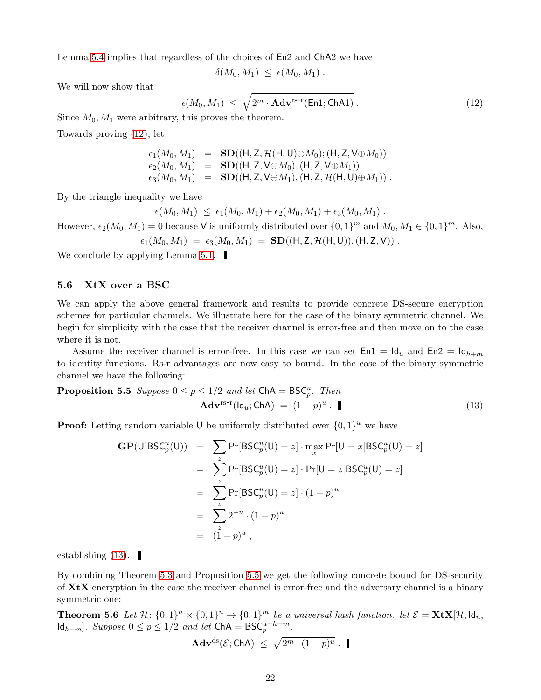Lemma [5.4](#page-20-3) implies that regardless of the choices of En2 and ChA2 we have

$$
\delta(M_0,M_1) \leq \epsilon(M_0,M_1) .
$$

We will now show that

<span id="page-21-1"></span>
$$
\epsilon(M_0, M_1) \leq \sqrt{2^m \cdot \mathbf{Adv}^{\text{rs-r}}(\text{En1}; \text{ChAl})} \,. \tag{12}
$$

Since  $M_0, M_1$  were arbitrary, this proves the theorem.

Towards proving [\(12\)](#page-21-1), let

$$
c_1(M_0, M_1) = SD((H, Z, \mathcal{H}(H, U) \oplus M_0); (H, Z, V \oplus M_0))
$$
  
\n
$$
c_2(M_0, M_1) = SD((H, Z, V \oplus M_0), (H, Z, V \oplus M_1))
$$
  
\n
$$
c_3(M_0, M_1) = SD((H, Z, V \oplus M_1), (H, Z, \mathcal{H}(H, U) \oplus M_1))
$$
.

By the triangle inequality we have

 $\epsilon(M_0, M_1) \leq \epsilon_1(M_0, M_1) + \epsilon_2(M_0, M_1) + \epsilon_3(M_0, M_1)$ .

However,  $\epsilon_2(M_0, M_1) = 0$  because V is uniformly distributed over  $\{0, 1\}^m$  and  $M_0, M_1 \in \{0, 1\}^m$ . Also,

$$
\epsilon_1(M_0,M_1) \;=\; \epsilon_3(M_0,M_1) \;=\; \text{SD}((\text{H},\text{Z},\mathcal{H}(\text{H},\text{U})),(\text{H},\text{Z},\text{V})) \;.
$$

We conclude by applying Lemma [5.1.](#page-18-2)  $\blacksquare$ 

### <span id="page-21-0"></span>5.6 XtX over a BSC

We can apply the above general framework and results to provide concrete DS-secure encryption schemes for particular channels. We illustrate here for the case of the binary symmetric channel. We begin for simplicity with the case that the receiver channel is error-free and then move on to the case where it is not.

Assume the receiver channel is error-free. In this case we can set  $En1 = Id_u$  and  $En2 = Id_{h+m}$ to identity functions. Rs-r advantages are now easy to bound. In the case of the binary symmetric channel we have the following:

**Proposition 5.5** *Suppose* 
$$
0 \le p \le 1/2
$$
 *and let*  $ChA = BSC_p^u$ . *Then*  
\n
$$
Adv^{rs-r}(Id_u; ChA) = (1-p)^u
$$
. (13)

**Proof:** Letting random variable U be uniformly distributed over  $\{0,1\}^u$  we have

<span id="page-21-3"></span><span id="page-21-2"></span>
$$
GP(U|BSC_p^u(U)) = \sum_{z} Pr[BSC_p^u(U) = z] \cdot \max_x Pr[U = x|BSC_p^u(U) = z]
$$
  
= 
$$
\sum_{z} Pr[BSC_p^u(U) = z] \cdot Pr[U = z|BSC_p^u(U) = z]
$$
  
= 
$$
\sum_{z} Pr[BSC_p^u(U) = z] \cdot (1 - p)^u
$$
  
= 
$$
\sum_{z} 2^{-u} \cdot (1 - p)^u
$$
  
= 
$$
(1 - p)^u
$$
,

establishing  $(13)$ .

By combining Theorem [5.3](#page-20-2) and Proposition [5.5](#page-21-3) we get the following concrete bound for DS-security of  $X<sup>t</sup>X$  encryption in the case the receiver channel is error-free and the adversary channel is a binary symmetric one:

<span id="page-21-4"></span>**Theorem 5.6** Let  $\mathcal{H}$ :  $\{0,1\}^h \times \{0,1\}^u \rightarrow \{0,1\}^m$  be a universal hash function. let  $\mathcal{E} = \mathbf{X} \mathbf{t} \mathbf{X} [\mathcal{H}, \mathsf{Id}_u, \mathsf{Id}_v]$  $\text{Id}_{h+m}$ . Suppose  $0 \leq p \leq 1/2$  and let  $\text{ChA} = \text{BSC}_{p}^{u+h+m}$ .

$$
Adv^{ds}(\mathcal{E};\mathsf{ChA}) \ \leq \ \sqrt{2^m \cdot (1-p)^u} \ . \ \blacksquare
$$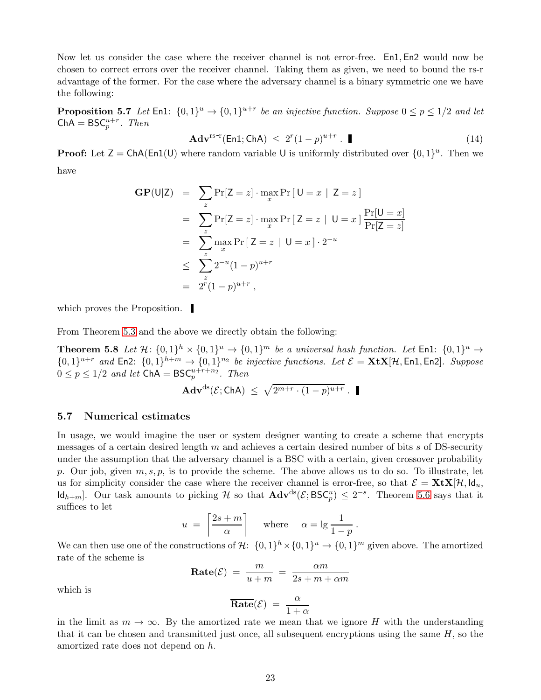Now let us consider the case where the receiver channel is not error-free. En1, En2 would now be chosen to correct errors over the receiver channel. Taking them as given, we need to bound the rs-r advantage of the former. For the case where the adversary channel is a binary symmetric one we have the following:

<span id="page-22-2"></span>**Proposition 5.7** Let En1:  $\{0,1\}^u \to \{0,1\}^{u+r}$  be an injective function. Suppose  $0 \le p \le 1/2$  and let  $ChA = BSC_p^{u+r}$ . *Then* 

$$
\mathbf{Adv}^{\text{rs-r}}(\text{En1};\text{ChA}) \le 2^r(1-p)^{u+r} \cdot \blacksquare
$$
\n(14)

**Proof:** Let  $Z = ChA(En1(U)$  where random variable U is uniformly distributed over  $\{0, 1\}^u$ . Then we have

$$
f_{\rm{max}}
$$

$$
GP(U|Z) = \sum_{z} Pr[Z = z] \cdot \max_{x} Pr[U = x | Z = z]
$$
  
= 
$$
\sum_{z} Pr[Z = z] \cdot \max_{x} Pr[Z = z | U = x] \frac{Pr[U = x]}{Pr[Z = z]}
$$
  
= 
$$
\sum_{z} \max_{x} Pr[Z = z | U = x] \cdot 2^{-u}
$$
  

$$
\leq \sum_{z} 2^{-u} (1 - p)^{u+r}
$$
  
= 
$$
2^{r} (1 - p)^{u+r},
$$

which proves the Proposition.

From Theorem [5.3](#page-20-2) and the above we directly obtain the following:

**Theorem 5.8** Let  $\mathcal{H}$ :  $\{0,1\}^h \times \{0,1\}^u \rightarrow \{0,1\}^m$  be a universal hash function. Let  $\text{En1: } \{0,1\}^u \rightarrow$  $\{0,1\}^{u+r}$  and En2:  $\{0,1\}^{h+m} \rightarrow \{0,1\}^{n_2}$  *be injective functions. Let*  $\mathcal{E} = \mathbf{X} \mathbf{t} \mathbf{X} [\mathcal{H}, \text{En1}, \text{En2}]$ *. Suppose*  $0 \le p \le 1/2$  and let  $\mathsf{ChA} = \mathsf{BSC}_p^{u+r+n_2}$ . Then

<span id="page-22-1"></span>
$$
Adv^{ds}(\mathcal{E};\mathsf{ChA}) \ \leq \ \sqrt{2^{m+r} \cdot (1-p)^{u+r}} \ .
$$

#### <span id="page-22-0"></span>5.7 Numerical estimates

In usage, we would imagine the user or system designer wanting to create a scheme that encrypts messages of a certain desired length  $m$  and achieves a certain desired number of bits  $s$  of DS-security under the assumption that the adversary channel is a BSC with a certain, given crossover probability p. Our job, given  $m, s, p$ , is to provide the scheme. The above allows us to do so. To illustrate, let us for simplicity consider the case where the receiver channel is error-free, so that  $\mathcal{E} = \mathbf{X} \mathbf{t} \mathbf{X} | \mathcal{H}, \mathsf{Id}_u$ ,  $\mathsf{Id}_{h+m}$ . Our task amounts to picking H so that  $\mathbf{Adv}^{ds}(\mathcal{E}; \mathsf{BSC}_{p}^{u}) \leq 2^{-s}$ . Theorem [5.6](#page-21-4) says that it suffices to let

$$
u = \left\lceil \frac{2s+m}{\alpha} \right\rceil
$$
 where  $\alpha = \lg \frac{1}{1-p}$ .

We can then use one of the constructions of  $\mathcal{H}$ :  $\{0,1\}^h \times \{0,1\}^u \to \{0,1\}^m$  given above. The amortized rate of the scheme is

$$
Rate(\mathcal{E}) = \frac{m}{u+m} = \frac{\alpha m}{2s+m+\alpha m}
$$

which is

$$
\overline{\textbf{Rate}}(\mathcal{E}) = \frac{\alpha}{1+\alpha}
$$

in the limit as  $m \to \infty$ . By the amortized rate we mean that we ignore H with the understanding that it can be chosen and transmitted just once, all subsequent encryptions using the same  $H$ , so the amortized rate does not depend on h.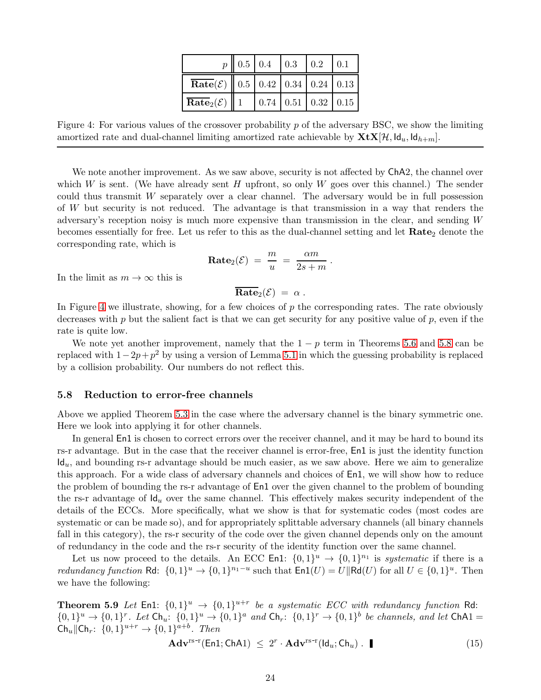|                                                       | $p \parallel 0.5 \parallel 0.4 \parallel 0.3 \parallel 0.2 \parallel 0.1$ |                                      |  |
|-------------------------------------------------------|---------------------------------------------------------------------------|--------------------------------------|--|
| <b>Rate</b> $(\mathcal{E})$ 0.5 0.42 0.34 0.24 0.13   |                                                                           |                                      |  |
| $\overline{\textbf{Rate}}_2(\mathcal{E}) \parallel 1$ |                                                                           | $0.74 \mid 0.51 \mid 0.32 \mid 0.15$ |  |

<span id="page-23-1"></span>Figure 4: For various values of the crossover probability p of the adversary BSC, we show the limiting amortized rate and dual-channel limiting amortized rate achievable by  $\mathbf{X} \mathbf{t} \mathbf{X} [\mathcal{H}, \mathsf{Id}_u, \mathsf{Id}_{h+m}]$ .

We note another improvement. As we saw above, security is not affected by  $ChA2$ , the channel over which W is sent. (We have already sent H upfront, so only W goes over this channel.) The sender could thus transmit W separately over a clear channel. The adversary would be in full possession of W but security is not reduced. The advantage is that transmission in a way that renders the adversary's reception noisy is much more expensive than transmission in the clear, and sending W becomes essentially for free. Let us refer to this as the dual-channel setting and let  $Rate<sub>2</sub>$  denote the corresponding rate, which is

$$
\mathbf{Rate}_2(\mathcal{E}) = \frac{m}{u} = \frac{\alpha m}{2s + m} \, .
$$

In the limit as  $m \to \infty$  this is

 $\overline{\text{Rate}}_2(\mathcal{E}) = \alpha$ .

In Figure [4](#page-23-1) we illustrate, showing, for a few choices of  $p$  the corresponding rates. The rate obviously decreases with p but the salient fact is that we can get security for any positive value of p, even if the rate is quite low.

We note yet another improvement, namely that the  $1 - p$  term in Theorems [5.6](#page-21-4) and [5.8](#page-22-1) can be replaced with  $1-2p+p^2$  by using a version of Lemma [5.1](#page-18-2) in which the guessing probability is replaced by a collision probability. Our numbers do not reflect this.

#### <span id="page-23-0"></span>5.8 Reduction to error-free channels

Above we applied Theorem [5.3](#page-20-2) in the case where the adversary channel is the binary symmetric one. Here we look into applying it for other channels.

In general **En1** is chosen to correct errors over the receiver channel, and it may be hard to bound its rs-r advantage. But in the case that the receiver channel is error-free, En1 is just the identity function  $Id_u$ , and bounding rs-r advantage should be much easier, as we saw above. Here we aim to generalize this approach. For a wide class of adversary channels and choices of En1, we will show how to reduce the problem of bounding the rs-r advantage of En1 over the given channel to the problem of bounding the rs-r advantage of  $\mathsf{Id}_u$  over the same channel. This effectively makes security independent of the details of the ECCs. More specifically, what we show is that for systematic codes (most codes are systematic or can be made so), and for appropriately splittable adversary channels (all binary channels fall in this category), the rs-r security of the code over the given channel depends only on the amount of redundancy in the code and the rs-r security of the identity function over the same channel.

Let us now proceed to the details. An ECC En1:  $\{0,1\}^u \rightarrow \{0,1\}^{n_1}$  is *systematic* if there is a *redundancy function* Rd:  $\{0,1\}^u \to \{0,1\}^{n_1-u}$  such that  $\text{En1}(U) = U \|\text{Rd}(U)$  for all  $U \in \{0,1\}^u$ . Then we have the following:

<span id="page-23-2"></span>**Theorem 5.9** Let En1:  $\{0,1\}^u \rightarrow \{0,1\}^{u+r}$  be a systematic ECC with redundancy function Rd:  $\{0,1\}^u \to \{0,1\}^r$ . Let  $\textsf{Ch}_u: \{0,1\}^u \to \{0,1\}^a$  and  $\textsf{Ch}_r: \{0,1\}^r \to \{0,1\}^b$  be channels, and let  $\textsf{ChAl} =$  $\text{Ch}_u \| \text{Ch}_r: \{0, 1\}^{u+r} \to \{0, 1\}^{a+b}$ . Then

<span id="page-23-3"></span>
$$
\mathbf{Adv}^{\text{rs-r}}(\text{En1}; \text{ChA1}) \leq 2^r \cdot \mathbf{Adv}^{\text{rs-r}}(\text{Id}_u; \text{Ch}_u) . \tag{15}
$$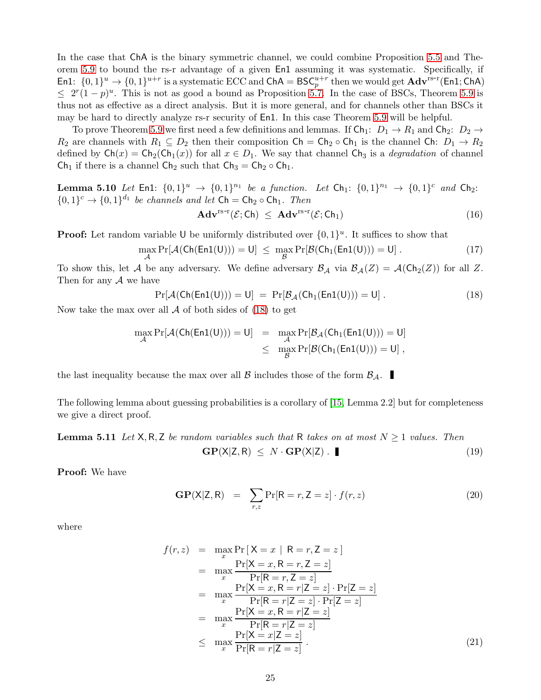<span id="page-24-5"></span>In the case that ChA is the binary symmetric channel, we could combine Proposition [5.5](#page-21-3) and Theorem [5.9](#page-23-2) to bound the rs-r advantage of a given En1 assuming it was systematic. Specifically, if En1:  $\{0,1\}^u \to \{0,1\}^{u+r}$  is a systematic ECC and ChA = BSC<sup>u+r</sup> then we would get  $\mathbf{Adv}^{\text{rs-r}}(\text{En1}; \text{ChA})$  $\leq 2^r(1-p)^u$ . This is not as good a bound as Proposition [5.7.](#page-22-2) In the case of BSCs, Theorem [5.9](#page-23-2) is thus not as effective as a direct analysis. But it is more general, and for channels other than BSCs it may be hard to directly analyze rs-r security of En1. In this case Theorem [5.9](#page-23-2) will be helpful.

To prove Theorem [5.9](#page-23-2) we first need a few definitions and lemmas. If  $\textsf{Ch}_1: D_1 \to R_1$  and  $\textsf{Ch}_2: D_2 \to$  $R_2$  are channels with  $R_1 \subseteq D_2$  then their composition  $\mathsf{Ch} = \mathsf{Ch}_2 \circ \mathsf{Ch}_1$  is the channel  $\mathsf{Ch} \colon D_1 \to R_2$ defined by  $\mathsf{Ch}(x) = \mathsf{Ch}_2(\mathsf{Ch}_1(x))$  for all  $x \in D_1$ . We say that channel  $\mathsf{Ch}_3$  is a *degradation* of channel Ch<sub>1</sub> if there is a channel Ch<sub>2</sub> such that Ch<sub>3</sub> = Ch<sub>2</sub>  $\circ$  Ch<sub>1</sub>.

<span id="page-24-3"></span>**Lemma 5.10** *Let* En1:  $\{0,1\}^u \to \{0,1\}^{n_1}$  *be a function. Let* Ch<sub>1</sub>:  $\{0,1\}^{n_1} \to \{0,1\}^c$  *and* Ch<sub>2</sub>:  $\{0,1\}^c \rightarrow \{0,1\}^{d_1}$  *be channels and let*  $\mathsf{Ch} = \mathsf{Ch}_2 \circ \mathsf{Ch}_1$ *. Then* 

$$
\mathbf{Adv}^{\mathrm{rs-r}}(\mathcal{E};\mathsf{Ch}) \leq \mathbf{Adv}^{\mathrm{rs-r}}(\mathcal{E};\mathsf{Ch}_1) \tag{16}
$$

**Proof:** Let random variable U be uniformly distributed over  $\{0, 1\}^u$ . It suffices to show that

$$
\max_{\mathcal{A}} \Pr[\mathcal{A}(\mathsf{Ch}(\mathsf{En1}(U))) = U] \leq \max_{\mathcal{B}} \Pr[\mathcal{B}(\mathsf{Ch}_1(\mathsf{En1}(U))) = U] \ . \tag{17}
$$

To show this, let A be any adversary. We define adversary  $\mathcal{B}_{\mathcal{A}}$  via  $\mathcal{B}_{\mathcal{A}}(Z) = \mathcal{A}(\mathsf{Ch}_2(Z))$  for all Z. Then for any  $A$  we have

<span id="page-24-0"></span>
$$
Pr[\mathcal{A}(Ch(En1(U))) = U] = Pr[\mathcal{B}_{\mathcal{A}}(Ch_1(En1(U))) = U]. \qquad (18)
$$

Now take the max over all  $\mathcal A$  of both sides of [\(18\)](#page-24-0) to get

$$
\begin{array}{rcl} \displaystyle \max_{\mathcal{A}} \Pr[\mathcal{A}(\mathsf{Ch}(\mathsf{En1}(\mathsf{U})))=\mathsf{U}] & = & \displaystyle \max_{\mathcal{A}} \Pr[\mathcal{B}_{\mathcal{A}}(\mathsf{Ch}_1(\mathsf{En1}(\mathsf{U})))=\mathsf{U}] \\ & \leq & \displaystyle \max_{\mathcal{B}} \Pr[\mathcal{B}(\mathsf{Ch}_1(\mathsf{En1}(\mathsf{U})))=\mathsf{U}] \; , \end{array}
$$

the last inequality because the max over all  $\beta$  includes those of the form  $\beta_{\mathcal{A}}$ .

<span id="page-24-4"></span>The following lemma about guessing probabilities is a corollary of [\[15,](#page-26-6) Lemma 2.2] but for completeness we give a direct proof.

**Lemma 5.11** *Let*  $X, R, Z$  *be random variables such that* R *takes on at most*  $N \geq 1$  *values. Then*  $GP(X|Z, R) \leq N \cdot GP(X|Z)$ . (19)

Proof: We have

<span id="page-24-1"></span>
$$
GP(X|Z, R) = \sum_{r,z} Pr[R = r, Z = z] \cdot f(r, z)
$$
\n(20)

where

<span id="page-24-2"></span>
$$
f(r,z) = \max_{x} \Pr[X=x \mid R=r, Z=z]
$$
  
\n
$$
= \max_{x} \frac{\Pr[X=x, R=r, Z=z]}{\Pr[R=r, Z=z]}
$$
  
\n
$$
= \max_{x} \frac{\Pr[X=x, R=r|Z=z] \cdot \Pr[Z=z]}{\Pr[R=r|Z=z] \cdot \Pr[Z=z]}
$$
  
\n
$$
= \max_{x} \frac{\Pr[X=x, R=r|Z=z]}{\Pr[R=r|Z=z]}
$$
  
\n
$$
\leq \max_{x} \frac{\Pr[X=x|Z=z]}{\Pr[R=r|Z=z]}.
$$
 (21)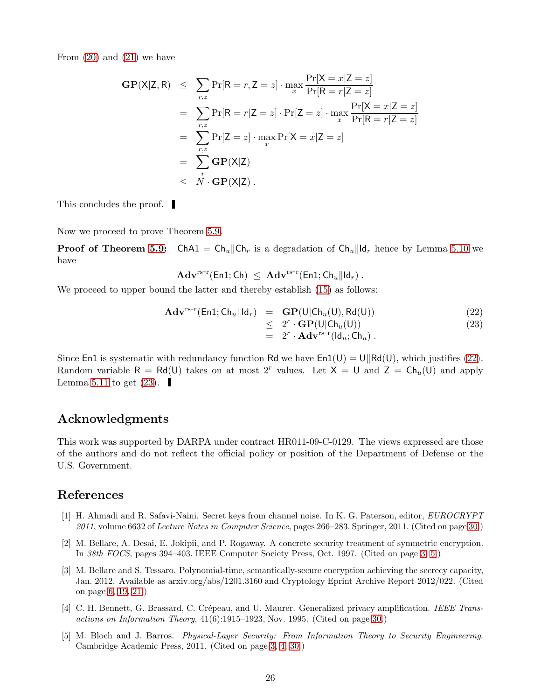From  $(20)$  and  $(21)$  we have

$$
GP(X|Z, R) \leq \sum_{r,z} Pr[R = r, Z = z] \cdot \max_{x} \frac{Pr[X = x|Z = z]}{Pr[R = r|Z = z]}
$$
  
\n
$$
= \sum_{r,z} Pr[R = r|Z = z] \cdot Pr[Z = z] \cdot \max_{x} \frac{Pr[X = x|Z = z]}{Pr[R = r|Z = z]}
$$
  
\n
$$
= \sum_{r,z} Pr[Z = z] \cdot \max_{x} Pr[X = x|Z = z]
$$
  
\n
$$
= \sum_{r} GP(X|Z)
$$
  
\n
$$
\leq N \cdot GP(X|Z).
$$

This concludes the proof.

Now we proceed to prove Theorem [5.9.](#page-23-2)

**Proof of Theorem [5.9:](#page-23-2)** ChA1 =  $Ch_u \| Ch_r$  is a degradation of  $Ch_u \| \mathbf{d}_r$  hence by Lemma [5.10](#page-24-3) we have

$$
\mathbf{Adv}^{\mathrm{rs-r}}(\mathsf{En1};\mathsf{Ch})\ \leq\ \mathbf{Adv}^{\mathrm{rs-r}}(\mathsf{En1};\mathsf{Ch}_u||\mathsf{Id}_r)\ .
$$

We proceed to upper bound the latter and thereby establish  $(15)$  as follows:

<span id="page-25-3"></span>
$$
\mathbf{Adv}^{\text{rs-r}}(\text{En1}; \text{Ch}_{u}||\text{Id}_{r}) = \mathbf{GP}(U|\text{Ch}_{u}(U), \text{Rd}(U))
$$
\n
$$
\leq 2^{r} \cdot \mathbf{GP}(U|\text{Ch}_{u}(U))
$$
\n
$$
= 2^{r} \cdot \mathbf{Adv}^{\text{rs-r}}(\text{Id}_{u}; \text{Ch}_{u}).
$$
\n(23)

Since En1 is systematic with redundancy function Rd we have  $En1(U) = U||Rd(U)$ , which justifies [\(22\)](#page-25-3). Random variable R = Rd(U) takes on at most 2<sup>r</sup> values. Let  $X = U$  and  $Z = Ch_u(U)$  and apply Lemma [5.11](#page-24-4) to get  $(23)$ .

# Acknowledgments

This work was supported by DARPA under contract HR011-09-C-0129. The views expressed are those of the authors and do not reflect the official policy or position of the Department of Defense or the U.S. Government.

# <span id="page-25-5"></span>References

- [1] H. Ahmadi and R. Safavi-Naini. Secret keys from channel noise. In K. G. Paterson, editor, *EUROCRYPT 2011*, volume 6632 of *Lecture Notes in Computer Science*, pages 266–283. Springer, 2011. (Cited on page [30.](#page-29-0))
- <span id="page-25-0"></span>[2] M. Bellare, A. Desai, E. Jokipii, and P. Rogaway. A concrete security treatment of symmetric encryption. In *38th FOCS*, pages 394–403. IEEE Computer Society Press, Oct. 1997. (Cited on page [3,](#page-2-2) [5.](#page-4-1))
- <span id="page-25-2"></span>[3] M. Bellare and S. Tessaro. Polynomial-time, semantically-secure encryption achieving the secrecy capacity, Jan. 2012. Available as arxiv.org/abs/1201.3160 and Cryptology Eprint Archive Report 2012/022. (Cited on page [6,](#page-5-0) [19,](#page-18-3) [21.](#page-20-4))
- <span id="page-25-4"></span>[4] C. H. Bennett, G. Brassard, C. Crépeau, and U. Maurer. Generalized privacy amplification. *IEEE Transactions on Information Theory*, 41(6):1915–1923, Nov. 1995. (Cited on page [30.](#page-29-0))
- <span id="page-25-1"></span>[5] M. Bloch and J. Barros. *Physical-Layer Security: From Information Theory to Security Engineering*. Cambridge Academic Press, 2011. (Cited on page [3,](#page-2-2) [4,](#page-3-1) [30.](#page-29-0))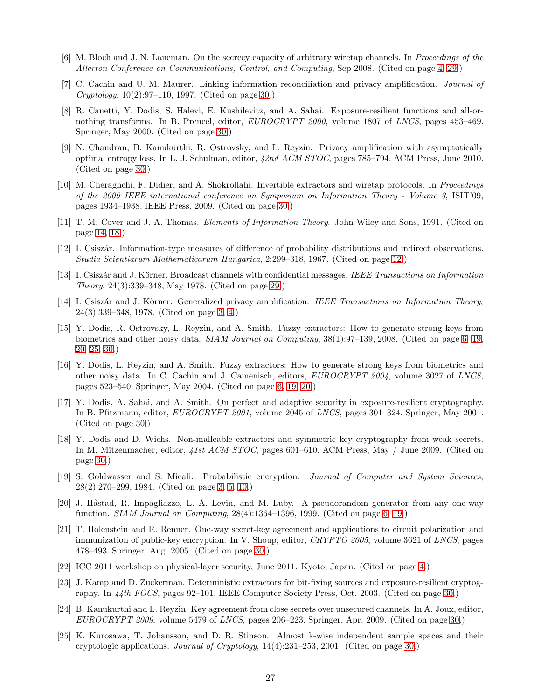- <span id="page-26-15"></span><span id="page-26-2"></span>[6] M. Bloch and J. N. Laneman. On the secrecy capacity of arbitrary wiretap channels. In *Proceedings of the Allerton Conference on Communications, Control, and Computing*, Sep 2008. (Cited on page [4,](#page-3-1) [29.](#page-28-1))
- <span id="page-26-13"></span>[7] C. Cachin and U. M. Maurer. Linking information reconciliation and privacy amplification. *Journal of Cryptology*, 10(2):97–110, 1997. (Cited on page [30.](#page-29-0))
- [8] R. Canetti, Y. Dodis, S. Halevi, E. Kushilevitz, and A. Sahai. Exposure-resilient functions and all-ornothing transforms. In B. Preneel, editor, *EUROCRYPT 2000*, volume 1807 of *LNCS*, pages 453–469. Springer, May 2000. (Cited on page [30.](#page-29-0))
- <span id="page-26-19"></span>[9] N. Chandran, B. Kanukurthi, R. Ostrovsky, and L. Reyzin. Privacy amplification with asymptotically optimal entropy loss. In L. J. Schulman, editor, *42nd ACM STOC*, pages 785–794. ACM Press, June 2010. (Cited on page [30.](#page-29-0))
- <span id="page-26-10"></span>[10] M. Cheraghchi, F. Didier, and A. Shokrollahi. Invertible extractors and wiretap protocols. In *Proceedings of the 2009 IEEE international conference on Symposium on Information Theory - Volume 3*, ISIT'09, pages 1934–1938. IEEE Press, 2009. (Cited on page [30.](#page-29-0))
- <span id="page-26-8"></span>[11] T. M. Cover and J. A. Thomas. *Elements of Information Theory*. John Wiley and Sons, 1991. (Cited on page [14,](#page-13-4) [18.](#page-17-0))
- <span id="page-26-7"></span>[12] I. Csisz´ar. Information-type measures of difference of probability distributions and indirect observations. *Studia Scientiarum Mathematicarum Hungarica*, 2:299–318, 1967. (Cited on page [12.](#page-11-6))
- <span id="page-26-9"></span>[13] I. Csisz´ar and J. K¨orner. Broadcast channels with confidential messages. *IEEE Transactions on Information Theory*, 24(3):339–348, May 1978. (Cited on page [29.](#page-28-1))
- <span id="page-26-0"></span>[14] I. Csiszár and J. Körner. Generalized privacy amplification. *IEEE Transactions on Information Theory*, 24(3):339–348, 1978. (Cited on page [3,](#page-2-2) [4.](#page-3-1))
- <span id="page-26-6"></span>[15] Y. Dodis, R. Ostrovsky, L. Reyzin, and A. Smith. Fuzzy extractors: How to generate strong keys from biometrics and other noisy data. *SIAM Journal on Computing*, 38(1):97–139, 2008. (Cited on page [6,](#page-5-0) [19,](#page-18-3) [20,](#page-19-3) [25,](#page-24-5) [30.](#page-29-0))
- <span id="page-26-5"></span>[16] Y. Dodis, L. Reyzin, and A. Smith. Fuzzy extractors: How to generate strong keys from biometrics and other noisy data. In C. Cachin and J. Camenisch, editors, *EUROCRYPT 2004*, volume 3027 of *LNCS*, pages 523–540. Springer, May 2004. (Cited on page [6,](#page-5-0) [19,](#page-18-3) [20.](#page-19-3))
- <span id="page-26-14"></span>[17] Y. Dodis, A. Sahai, and A. Smith. On perfect and adaptive security in exposure-resilient cryptography. In B. Pfitzmann, editor, *EUROCRYPT 2001*, volume 2045 of *LNCS*, pages 301–324. Springer, May 2001. (Cited on page [30.](#page-29-0))
- <span id="page-26-18"></span>[18] Y. Dodis and D. Wichs. Non-malleable extractors and symmetric key cryptography from weak secrets. In M. Mitzenmacher, editor, *41st ACM STOC*, pages 601–610. ACM Press, May / June 2009. (Cited on page [30.](#page-29-0))
- <span id="page-26-1"></span>[19] S. Goldwasser and S. Micali. Probabilistic encryption. *Journal of Computer and System Sciences*, 28(2):270–299, 1984. (Cited on page [3,](#page-2-2) [5,](#page-4-1) [10.](#page-9-3))
- <span id="page-26-4"></span>[20] J. Håstad, R. Impagliazzo, L. A. Levin, and M. Luby. A pseudorandom generator from any one-way function. *SIAM Journal on Computing*, 28(4):1364–1396, 1999. (Cited on page [6,](#page-5-0) [19.](#page-18-3))
- <span id="page-26-16"></span>[21] T. Holenstein and R. Renner. One-way secret-key agreement and applications to circuit polarization and immunization of public-key encryption. In V. Shoup, editor, *CRYPTO 2005*, volume 3621 of *LNCS*, pages 478–493. Springer, Aug. 2005. (Cited on page [30.](#page-29-0))
- <span id="page-26-11"></span><span id="page-26-3"></span>[22] ICC 2011 workshop on physical-layer security, June 2011. Kyoto, Japan. (Cited on page [4.](#page-3-1))
- [23] J. Kamp and D. Zuckerman. Deterministic extractors for bit-fixing sources and exposure-resilient cryptography. In *44th FOCS*, pages 92–101. IEEE Computer Society Press, Oct. 2003. (Cited on page [30.](#page-29-0))
- <span id="page-26-17"></span>[24] B. Kanukurthi and L. Reyzin. Key agreement from close secrets over unsecured channels. In A. Joux, editor, *EUROCRYPT 2009*, volume 5479 of *LNCS*, pages 206–223. Springer, Apr. 2009. (Cited on page [30.](#page-29-0))
- <span id="page-26-12"></span>[25] K. Kurosawa, T. Johansson, and D. R. Stinson. Almost k-wise independent sample spaces and their cryptologic applications. *Journal of Cryptology*, 14(4):231–253, 2001. (Cited on page [30.](#page-29-0))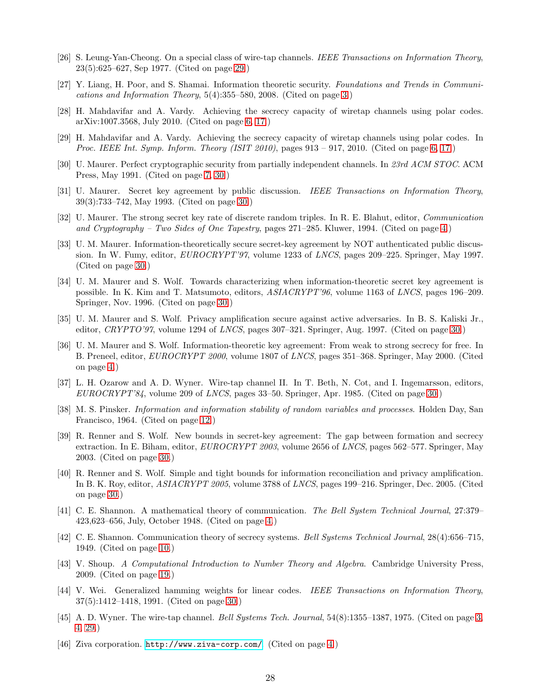- <span id="page-27-12"></span><span id="page-27-1"></span>[26] S. Leung-Yan-Cheong. On a special class of wire-tap channels. *IEEE Transactions on Information Theory*, 23(5):625–627, Sep 1977. (Cited on page [29.](#page-28-1))
- <span id="page-27-7"></span>[27] Y. Liang, H. Poor, and S. Shamai. Information theoretic security. *Foundations and Trends in Communications and Information Theory*, 5(4):355–580, 2008. (Cited on page [3.](#page-2-2))
- [28] H. Mahdavifar and A. Vardy. Achieving the secrecy capacity of wiretap channels using polar codes. arXiv:1007.3568, July 2010. (Cited on page [6,](#page-5-0) [17.](#page-16-3))
- <span id="page-27-6"></span>[29] H. Mahdavifar and A. Vardy. Achieving the secrecy capacity of wiretap channels using polar codes. In *Proc. IEEE Int. Symp. Inform. Theory (ISIT 2010)*, pages 913 – 917, 2010. (Cited on page [6,](#page-5-0) [17.](#page-16-3))
- <span id="page-27-15"></span><span id="page-27-8"></span>[30] U. Maurer. Perfect cryptographic security from partially independent channels. In *23rd ACM STOC*. ACM Press, May 1991. (Cited on page [7,](#page-6-1) [30.](#page-29-0))
- [31] U. Maurer. Secret key agreement by public discussion. *IEEE Transactions on Information Theory*, 39(3):733–742, May 1993. (Cited on page [30.](#page-29-0))
- <span id="page-27-2"></span>[32] U. Maurer. The strong secret key rate of discrete random triples. In R. E. Blahut, editor, *Communication and Cryptography – Two Sides of One Tapestry*, pages 271–285. Kluwer, 1994. (Cited on page [4.](#page-3-1))
- <span id="page-27-19"></span>[33] U. M. Maurer. Information-theoretically secure secret-key agreement by NOT authenticated public discussion. In W. Fumy, editor, *EUROCRYPT'97*, volume 1233 of *LNCS*, pages 209–225. Springer, May 1997. (Cited on page [30.](#page-29-0))
- <span id="page-27-17"></span>[34] U. M. Maurer and S. Wolf. Towards characterizing when information-theoretic secret key agreement is possible. In K. Kim and T. Matsumoto, editors, *ASIACRYPT'96*, volume 1163 of *LNCS*, pages 196–209. Springer, Nov. 1996. (Cited on page [30.](#page-29-0))
- <span id="page-27-20"></span>[35] U. M. Maurer and S. Wolf. Privacy amplification secure against active adversaries. In B. S. Kaliski Jr., editor, *CRYPTO'97*, volume 1294 of *LNCS*, pages 307–321. Springer, Aug. 1997. (Cited on page [30.](#page-29-0))
- <span id="page-27-3"></span>[36] U. M. Maurer and S. Wolf. Information-theoretic key agreement: From weak to strong secrecy for free. In B. Preneel, editor, *EUROCRYPT 2000*, volume 1807 of *LNCS*, pages 351–368. Springer, May 2000. (Cited on page [4.](#page-3-1))
- <span id="page-27-13"></span>[37] L. H. Ozarow and A. D. Wyner. Wire-tap channel II. In T. Beth, N. Cot, and I. Ingemarsson, editors, *EUROCRYPT'84*, volume 209 of *LNCS*, pages 33–50. Springer, Apr. 1985. (Cited on page [30.](#page-29-0))
- <span id="page-27-10"></span>[38] M. S. Pinsker. *Information and information stability of random variables and processes*. Holden Day, San Francisco, 1964. (Cited on page [12.](#page-11-6))
- <span id="page-27-18"></span>[39] R. Renner and S. Wolf. New bounds in secret-key agreement: The gap between formation and secrecy extraction. In E. Biham, editor, *EUROCRYPT 2003*, volume 2656 of *LNCS*, pages 562–577. Springer, May 2003. (Cited on page [30.](#page-29-0))
- <span id="page-27-16"></span>[40] R. Renner and S. Wolf. Simple and tight bounds for information reconciliation and privacy amplification. In B. K. Roy, editor, *ASIACRYPT 2005*, volume 3788 of *LNCS*, pages 199–216. Springer, Dec. 2005. (Cited on page [30.](#page-29-0))
- <span id="page-27-4"></span>[41] C. E. Shannon. A mathematical theory of communication. *The Bell System Technical Journal*, 27:379– 423,623–656, July, October 1948. (Cited on page [4.](#page-3-1))
- <span id="page-27-9"></span>[42] C. E. Shannon. Communication theory of secrecy systems. *Bell Systems Technical Journal*, 28(4):656–715, 1949. (Cited on page [10.](#page-9-3))
- <span id="page-27-11"></span>[43] V. Shoup. *A Computational Introduction to Number Theory and Algebra*. Cambridge University Press, 2009. (Cited on page [19.](#page-18-3))
- <span id="page-27-14"></span>[44] V. Wei. Generalized hamming weights for linear codes. *IEEE Transactions on Information Theory*, 37(5):1412–1418, 1991. (Cited on page [30.](#page-29-0))
- <span id="page-27-0"></span>[45] A. D. Wyner. The wire-tap channel. *Bell Systems Tech. Journal*, 54(8):1355–1387, 1975. (Cited on page [3,](#page-2-2) [4,](#page-3-1) [29.](#page-28-1))
- <span id="page-27-5"></span>[46] Ziva corporation. <http://www.ziva-corp.com/>. (Cited on page [4.](#page-3-1))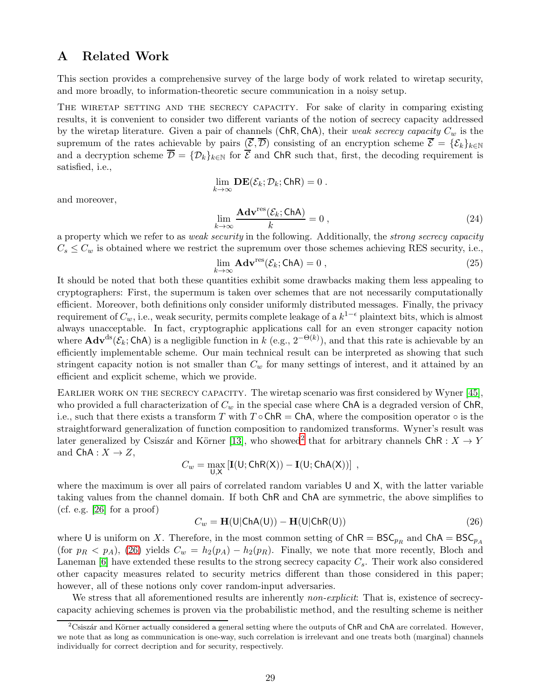# <span id="page-28-1"></span><span id="page-28-0"></span>A Related Work

This section provides a comprehensive survey of the large body of work related to wiretap security, and more broadly, to information-theoretic secure communication in a noisy setup.

THE WIRETAP SETTING AND THE SECRECY CAPACITY. For sake of clarity in comparing existing results, it is convenient to consider two different variants of the notion of secrecy capacity addressed by the wiretap literature. Given a pair of channels  $(ChR, ChA)$ , their *weak secrecy capacity*  $C_w$  is the supremum of the rates achievable by pairs  $(\overline{\mathcal{E}}, \overline{\mathcal{D}})$  consisting of an encryption scheme  $\overline{\mathcal{E}} = {\mathcal{E}_k}_{k\in\mathbb{N}}$ and a decryption scheme  $\overline{\mathcal{D}} = {\{\mathcal{D}_k\}_{k\in\mathbb{N}}}$  for  $\overline{\mathcal{E}}$  and ChR such that, first, the decoding requirement is satisfied, i.e.,

 $\lim_{k\to\infty}$  **DE**( $\mathcal{E}_k$ ;  $\mathcal{D}_k$ ; ChR) = 0.

and moreover,

$$
\lim_{k \to \infty} \frac{\mathbf{Adv}^{\text{res}}(\mathcal{E}_k; \text{ChA})}{k} = 0 ,
$$
\n(24)

a property which we refer to as *weak security* in the following. Additionally, the *strong secrecy capacity*  $C_s \leq C_w$  is obtained where we restrict the supremum over those schemes achieving RES security, i.e.,

$$
\lim_{k \to \infty} \mathbf{Adv}^{\text{res}}(\mathcal{E}_k; \mathsf{ChA}) = 0 ,
$$
\n(25)

It should be noted that both these quantities exhibit some drawbacks making them less appealing to cryptographers: First, the supermum is taken over schemes that are not necessarily computationally efficient. Moreover, both definitions only consider uniformly distributed messages. Finally, the privacy requirement of  $C_w$ , i.e., weak security, permits complete leakage of a  $k^{1-\epsilon}$  plaintext bits, which is almost always unacceptable. In fact, cryptographic applications call for an even stronger capacity notion where  $\mathbf{Adv}^{ds}(\mathcal{E}_k; \mathsf{ChA})$  is a negligible function in k (e.g.,  $2^{-\Theta(k)}$ ), and that this rate is achievable by an efficiently implementable scheme. Our main technical result can be interpreted as showing that such stringent capacity notion is not smaller than  $C_w$  for many settings of interest, and it attained by an efficient and explicit scheme, which we provide.

EARLIER WORK ON THE SECRECY CAPACITY. The wiretap scenario was first considered by Wyner [\[45\]](#page-27-0), who provided a full characterization of  $C_w$  in the special case where ChA is a degraded version of ChR, i.e., such that there exists a transform T with  $T \circ ChR = ChA$ , where the composition operator  $\circ$  is the straightforward generalization of function composition to randomized transforms. Wyner's result was later generalized by Csiszár and Körner [\[13\]](#page-26-9), who showed<sup>[2](#page-28-2)</sup> that for arbitrary channels  $\mathsf{ChR} : X \to Y$ and  $ChA: X \rightarrow Z$ ,

$$
C_w = \max_{\mathsf{U},\mathsf{X}}\left[\mathbf{I}(\mathsf{U};\mathsf{ChR}(\mathsf{X}))-\mathbf{I}(\mathsf{U};\mathsf{ChA}(\mathsf{X}))\right]\;,
$$

where the maximum is over all pairs of correlated random variables U and X, with the latter variable taking values from the channel domain. If both ChR and ChA are symmetric, the above simplifies to  $(cf. e.g. [26] for a proof)$  $(cf. e.g. [26] for a proof)$  $(cf. e.g. [26] for a proof)$ 

<span id="page-28-3"></span>
$$
C_w = \mathbf{H}(\mathsf{U}|\mathsf{ChA}(\mathsf{U})) - \mathbf{H}(\mathsf{U}|\mathsf{ChR}(\mathsf{U}))
$$
\n(26)

where U is uniform on X. Therefore, in the most common setting of  $\text{ChR} = \text{BSC}_{p_R}$  and  $\text{ChA} = \text{BSC}_{p_A}$ (for  $p_R < p_A$ ), [\(26\)](#page-28-3) yields  $C_w = h_2(p_A) - h_2(p_R)$ . Finally, we note that more recently, Bloch and Laneman [\[6\]](#page-26-2) have extended these results to the strong secrecy capacity  $C_s$ . Their work also considered other capacity measures related to security metrics different than those considered in this paper; however, all of these notions only cover random-input adversaries.

We stress that all aforementioned results are inherently *non-explicit*: That is, existence of secrecycapacity achieving schemes is proven via the probabilistic method, and the resulting scheme is neither

<span id="page-28-2"></span> ${}^{2}$ Csiszár and Körner actually considered a general setting where the outputs of ChR and ChA are correlated. However, we note that as long as communication is one-way, such correlation is irrelevant and one treats both (marginal) channels individually for correct decription and for security, respectively.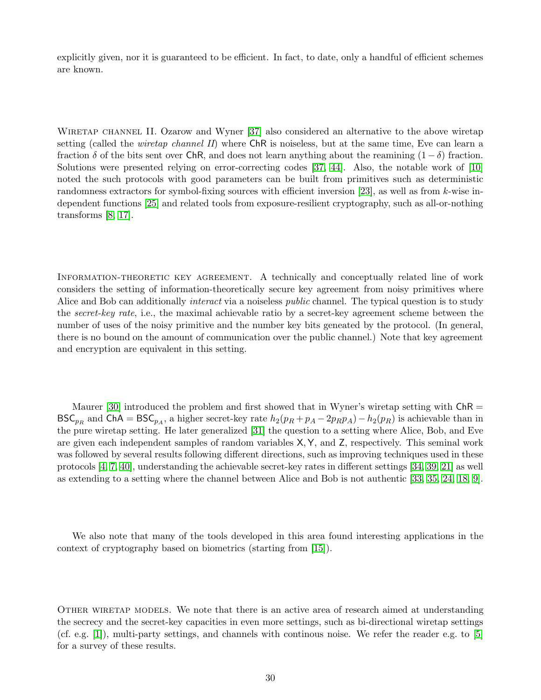<span id="page-29-0"></span>explicitly given, nor it is guaranteed to be efficient. In fact, to date, only a handful of efficient schemes are known.

WIRETAP CHANNEL II. Ozarow and Wyner [\[37\]](#page-27-13) also considered an alternative to the above wiretap setting (called the *wiretap channel II*) where ChR is noiseless, but at the same time, Eve can learn a fraction  $\delta$  of the bits sent over ChR, and does not learn anything about the reamining  $(1 - \delta)$  fraction. Solutions were presented relying on error-correcting codes [\[37,](#page-27-13) [44\]](#page-27-14). Also, the notable work of [\[10\]](#page-26-10) noted the such protocols with good parameters can be built from primitives such as deterministic randomness extractors for symbol-fixing sources with efficient inversion [\[23\]](#page-26-11), as well as from k-wise independent functions [\[25\]](#page-26-12) and related tools from exposure-resilient cryptography, such as all-or-nothing transforms [\[8,](#page-26-13) [17\]](#page-26-14).

INFORMATION-THEORETIC KEY AGREEMENT. A technically and conceptually related line of work considers the setting of information-theoretically secure key agreement from noisy primitives where Alice and Bob can additionally *interact* via a noiseless *public* channel. The typical question is to study the *secret-key rate*, i.e., the maximal achievable ratio by a secret-key agreement scheme between the number of uses of the noisy primitive and the number key bits geneated by the protocol. (In general, there is no bound on the amount of communication over the public channel.) Note that key agreement and encryption are equivalent in this setting.

Maurer [\[30\]](#page-27-8) introduced the problem and first showed that in Wyner's wiretap setting with  $\mathsf{ChR} =$ BSC<sub>pR</sub> and ChA = BSC<sub>pA</sub>, a higher secret-key rate  $h_2(p_R + p_A - 2p_Rp_A) - h_2(p_R)$  is achievable than in the pure wiretap setting. He later generalized [\[31\]](#page-27-15) the question to a setting where Alice, Bob, and Eve are given each independent samples of random variables X,Y, and Z, respectively. This seminal work was followed by several results following different directions, such as improving techniques used in these protocols [\[4,](#page-25-4) [7,](#page-26-15) [40\]](#page-27-16), understanding the achievable secret-key rates in different settings [\[34,](#page-27-17) [39,](#page-27-18) [21\]](#page-26-16) as well as extending to a setting where the channel between Alice and Bob is not authentic [\[33,](#page-27-19) [35,](#page-27-20) [24,](#page-26-17) [18,](#page-26-18) [9\]](#page-26-19).

We also note that many of the tools developed in this area found interesting applications in the context of cryptography based on biometrics (starting from [\[15\]](#page-26-6)).

Other wiretap models. We note that there is an active area of research aimed at understanding the secrecy and the secret-key capacities in even more settings, such as bi-directional wiretap settings (cf. e.g. [\[1\]](#page-25-5)), multi-party settings, and channels with continous noise. We refer the reader e.g. to [\[5\]](#page-25-1) for a survey of these results.